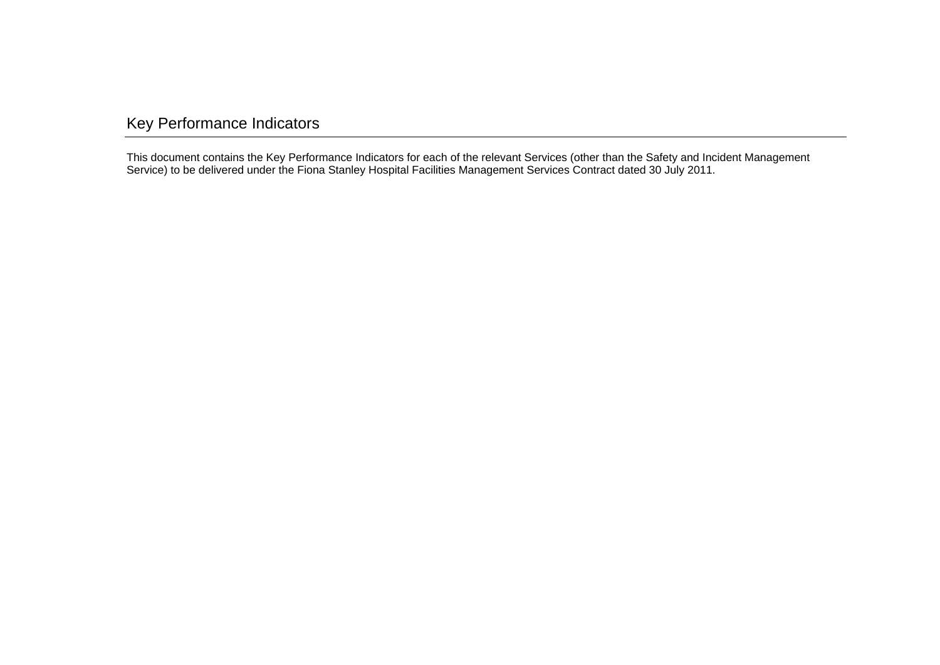# <span id="page-0-0"></span>Key Performance Indicators

This document contains the Key Performance Indicators for each of the relevant Services (other than the Safety and Incident Management Service) to be delivered under the Fiona Stanley Hospital Facilities Management Services Contract dated 30 July 2011.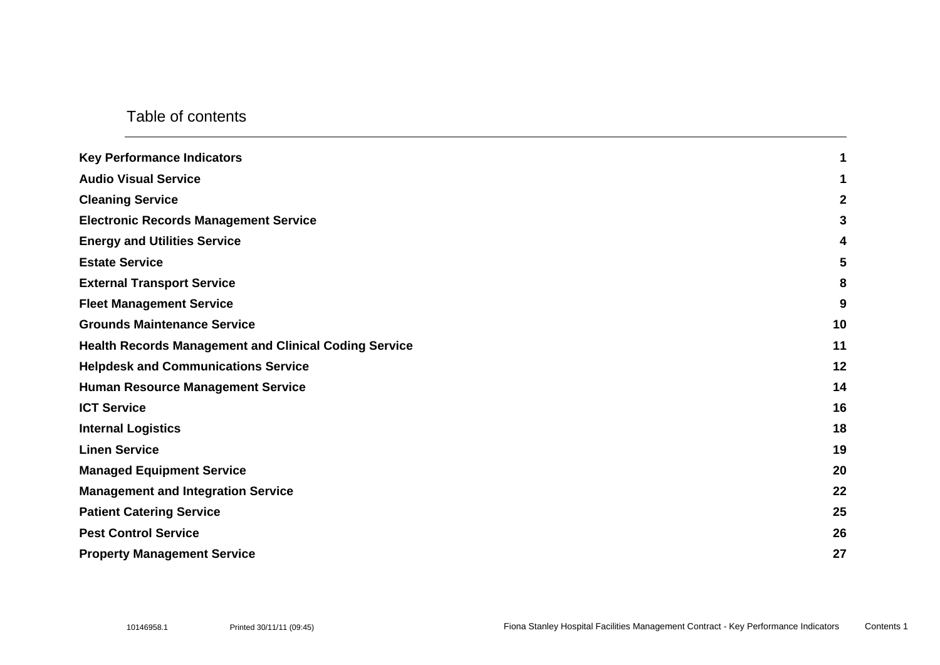#### Table of contents

| <b>Key Performance Indicators</b>                            | 1           |
|--------------------------------------------------------------|-------------|
| <b>Audio Visual Service</b>                                  | 1           |
| <b>Cleaning Service</b>                                      | $\mathbf 2$ |
| <b>Electronic Records Management Service</b>                 | 3           |
| <b>Energy and Utilities Service</b>                          | 4           |
| <b>Estate Service</b>                                        | 5           |
| <b>External Transport Service</b>                            | 8           |
| <b>Fleet Management Service</b>                              | 9           |
| <b>Grounds Maintenance Service</b>                           | 10          |
| <b>Health Records Management and Clinical Coding Service</b> | 11          |
| <b>Helpdesk and Communications Service</b>                   | 12          |
| <b>Human Resource Management Service</b>                     | 14          |
| <b>ICT Service</b>                                           | 16          |
| <b>Internal Logistics</b>                                    | 18          |
| <b>Linen Service</b>                                         | 19          |
| <b>Managed Equipment Service</b>                             | 20          |
| <b>Management and Integration Service</b>                    | 22          |
| <b>Patient Catering Service</b>                              | 25          |
| <b>Pest Control Service</b>                                  | 26          |
| <b>Property Management Service</b>                           | 27          |
|                                                              |             |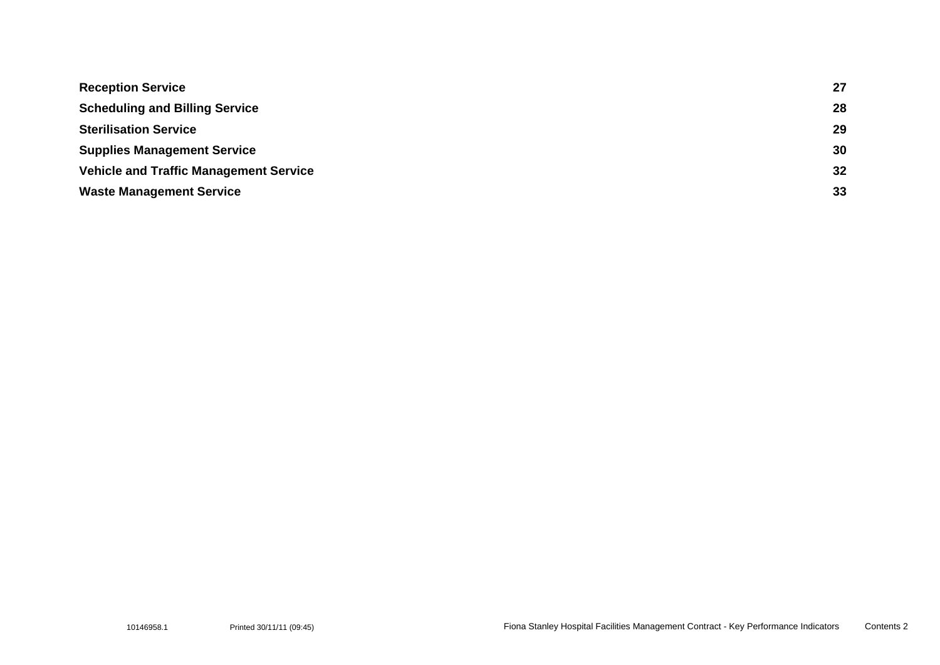| <b>Reception Service</b>                      | 27 |
|-----------------------------------------------|----|
| <b>Scheduling and Billing Service</b>         | 28 |
| <b>Sterilisation Service</b>                  | 29 |
| <b>Supplies Management Service</b>            | 30 |
| <b>Vehicle and Traffic Management Service</b> | 32 |
| <b>Waste Management Service</b>               | 33 |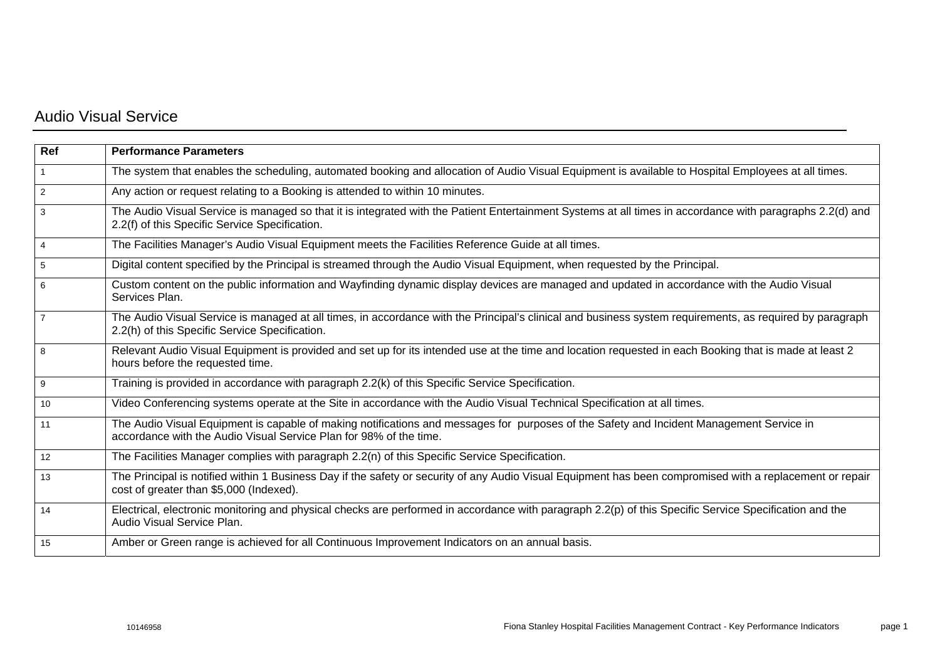### <span id="page-3-0"></span>Audio Visual Service

| Ref            | <b>Performance Parameters</b>                                                                                                                                                                                  |
|----------------|----------------------------------------------------------------------------------------------------------------------------------------------------------------------------------------------------------------|
|                | The system that enables the scheduling, automated booking and allocation of Audio Visual Equipment is available to Hospital Employees at all times.                                                            |
| 2              | Any action or request relating to a Booking is attended to within 10 minutes.                                                                                                                                  |
| 3              | The Audio Visual Service is managed so that it is integrated with the Patient Entertainment Systems at all times in accordance with paragraphs 2.2(d) and<br>2.2(f) of this Specific Service Specification.    |
| $\overline{4}$ | The Facilities Manager's Audio Visual Equipment meets the Facilities Reference Guide at all times.                                                                                                             |
| 5              | Digital content specified by the Principal is streamed through the Audio Visual Equipment, when requested by the Principal.                                                                                    |
| 6              | Custom content on the public information and Wayfinding dynamic display devices are managed and updated in accordance with the Audio Visual<br>Services Plan.                                                  |
| $\overline{7}$ | The Audio Visual Service is managed at all times, in accordance with the Principal's clinical and business system requirements, as required by paragraph<br>2.2(h) of this Specific Service Specification.     |
| 8              | Relevant Audio Visual Equipment is provided and set up for its intended use at the time and location requested in each Booking that is made at least 2<br>hours before the requested time.                     |
| 9              | Training is provided in accordance with paragraph 2.2(k) of this Specific Service Specification.                                                                                                               |
| 10             | Video Conferencing systems operate at the Site in accordance with the Audio Visual Technical Specification at all times.                                                                                       |
| 11             | The Audio Visual Equipment is capable of making notifications and messages for purposes of the Safety and Incident Management Service in<br>accordance with the Audio Visual Service Plan for 98% of the time. |
| 12             | The Facilities Manager complies with paragraph 2.2(n) of this Specific Service Specification.                                                                                                                  |
| 13             | The Principal is notified within 1 Business Day if the safety or security of any Audio Visual Equipment has been compromised with a replacement or repair<br>cost of greater than \$5,000 (Indexed).           |
| 14             | Electrical, electronic monitoring and physical checks are performed in accordance with paragraph 2.2(p) of this Specific Service Specification and the<br>Audio Visual Service Plan.                           |
| 15             | Amber or Green range is achieved for all Continuous Improvement Indicators on an annual basis.                                                                                                                 |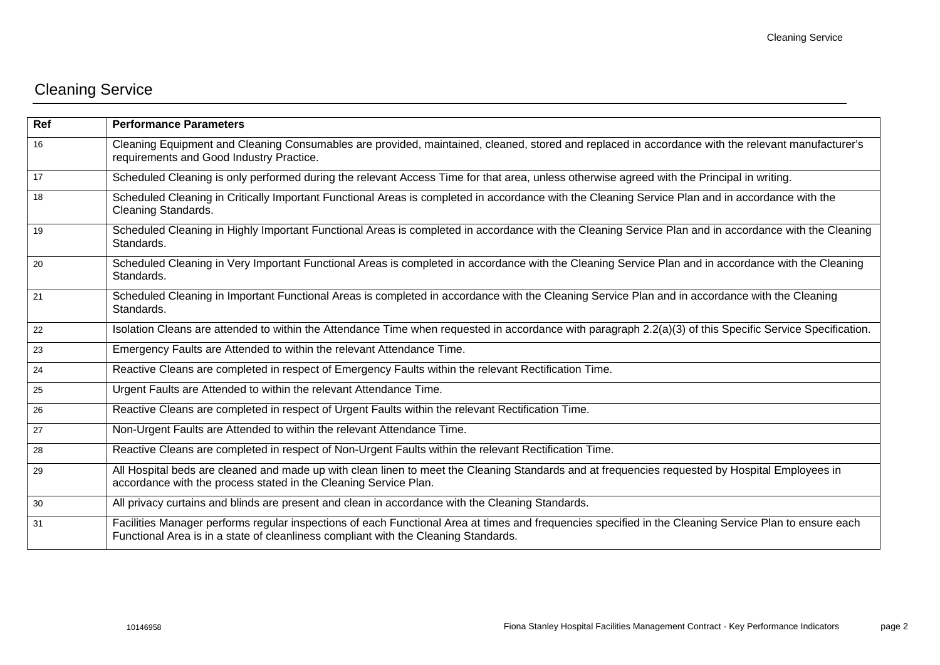# <span id="page-4-0"></span>Cleaning Service

| Ref | <b>Performance Parameters</b>                                                                                                                                                                                                                 |
|-----|-----------------------------------------------------------------------------------------------------------------------------------------------------------------------------------------------------------------------------------------------|
| 16  | Cleaning Equipment and Cleaning Consumables are provided, maintained, cleaned, stored and replaced in accordance with the relevant manufacturer's<br>requirements and Good Industry Practice.                                                 |
| 17  | Scheduled Cleaning is only performed during the relevant Access Time for that area, unless otherwise agreed with the Principal in writing.                                                                                                    |
| 18  | Scheduled Cleaning in Critically Important Functional Areas is completed in accordance with the Cleaning Service Plan and in accordance with the<br>Cleaning Standards.                                                                       |
| 19  | Scheduled Cleaning in Highly Important Functional Areas is completed in accordance with the Cleaning Service Plan and in accordance with the Cleaning<br>Standards.                                                                           |
| 20  | Scheduled Cleaning in Very Important Functional Areas is completed in accordance with the Cleaning Service Plan and in accordance with the Cleaning<br>Standards.                                                                             |
| 21  | Scheduled Cleaning in Important Functional Areas is completed in accordance with the Cleaning Service Plan and in accordance with the Cleaning<br>Standards.                                                                                  |
| 22  | Isolation Cleans are attended to within the Attendance Time when requested in accordance with paragraph 2.2(a)(3) of this Specific Service Specification.                                                                                     |
| 23  | Emergency Faults are Attended to within the relevant Attendance Time.                                                                                                                                                                         |
| 24  | Reactive Cleans are completed in respect of Emergency Faults within the relevant Rectification Time.                                                                                                                                          |
| 25  | Urgent Faults are Attended to within the relevant Attendance Time.                                                                                                                                                                            |
| 26  | Reactive Cleans are completed in respect of Urgent Faults within the relevant Rectification Time.                                                                                                                                             |
| 27  | Non-Urgent Faults are Attended to within the relevant Attendance Time.                                                                                                                                                                        |
| 28  | Reactive Cleans are completed in respect of Non-Urgent Faults within the relevant Rectification Time.                                                                                                                                         |
| 29  | All Hospital beds are cleaned and made up with clean linen to meet the Cleaning Standards and at frequencies requested by Hospital Employees in<br>accordance with the process stated in the Cleaning Service Plan.                           |
| 30  | All privacy curtains and blinds are present and clean in accordance with the Cleaning Standards.                                                                                                                                              |
| 31  | Facilities Manager performs regular inspections of each Functional Area at times and frequencies specified in the Cleaning Service Plan to ensure each<br>Functional Area is in a state of cleanliness compliant with the Cleaning Standards. |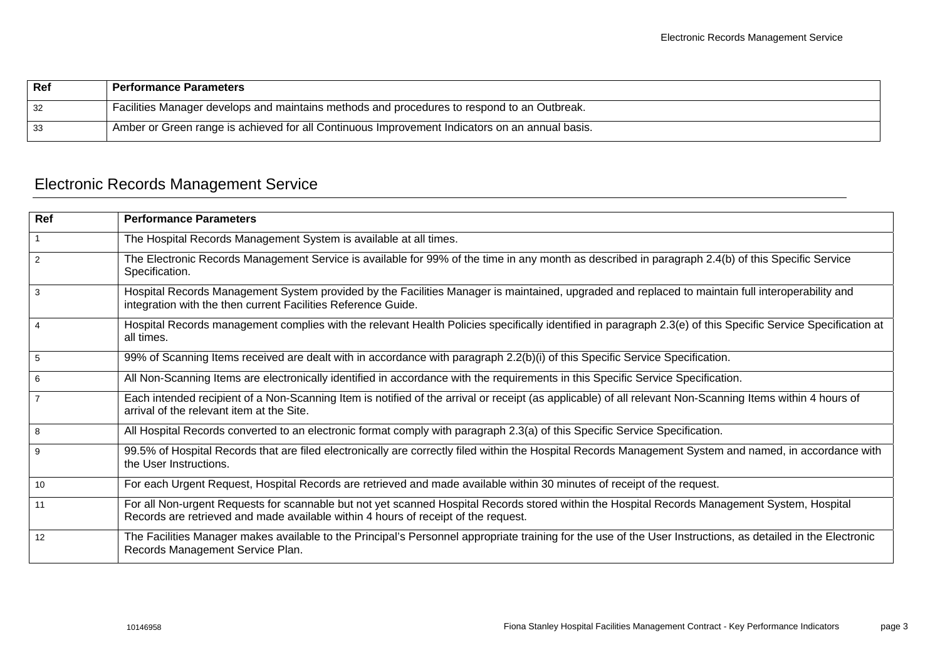| Ref | <b>Performance Parameters</b>                                                                  |
|-----|------------------------------------------------------------------------------------------------|
| 32  | Facilities Manager develops and maintains methods and procedures to respond to an Outbreak.    |
| 33  | Amber or Green range is achieved for all Continuous Improvement Indicators on an annual basis. |

# <span id="page-5-0"></span>Electronic Records Management Service

| Ref            | <b>Performance Parameters</b>                                                                                                                                                                                                       |
|----------------|-------------------------------------------------------------------------------------------------------------------------------------------------------------------------------------------------------------------------------------|
|                | The Hospital Records Management System is available at all times.                                                                                                                                                                   |
| 2              | The Electronic Records Management Service is available for 99% of the time in any month as described in paragraph 2.4(b) of this Specific Service<br>Specification.                                                                 |
| 3              | Hospital Records Management System provided by the Facilities Manager is maintained, upgraded and replaced to maintain full interoperability and<br>integration with the then current Facilities Reference Guide.                   |
| $\overline{4}$ | Hospital Records management complies with the relevant Health Policies specifically identified in paragraph 2.3(e) of this Specific Service Specification at<br>all times.                                                          |
| 5              | 99% of Scanning Items received are dealt with in accordance with paragraph 2.2(b)(i) of this Specific Service Specification.                                                                                                        |
| 6              | All Non-Scanning Items are electronically identified in accordance with the requirements in this Specific Service Specification.                                                                                                    |
| $\overline{7}$ | Each intended recipient of a Non-Scanning Item is notified of the arrival or receipt (as applicable) of all relevant Non-Scanning Items within 4 hours of<br>arrival of the relevant item at the Site.                              |
| 8              | All Hospital Records converted to an electronic format comply with paragraph 2.3(a) of this Specific Service Specification.                                                                                                         |
| 9              | 99.5% of Hospital Records that are filed electronically are correctly filed within the Hospital Records Management System and named, in accordance with<br>the User Instructions.                                                   |
| 10             | For each Urgent Request, Hospital Records are retrieved and made available within 30 minutes of receipt of the request.                                                                                                             |
| 11             | For all Non-urgent Requests for scannable but not yet scanned Hospital Records stored within the Hospital Records Management System, Hospital<br>Records are retrieved and made available within 4 hours of receipt of the request. |
| 12             | The Facilities Manager makes available to the Principal's Personnel appropriate training for the use of the User Instructions, as detailed in the Electronic<br>Records Management Service Plan.                                    |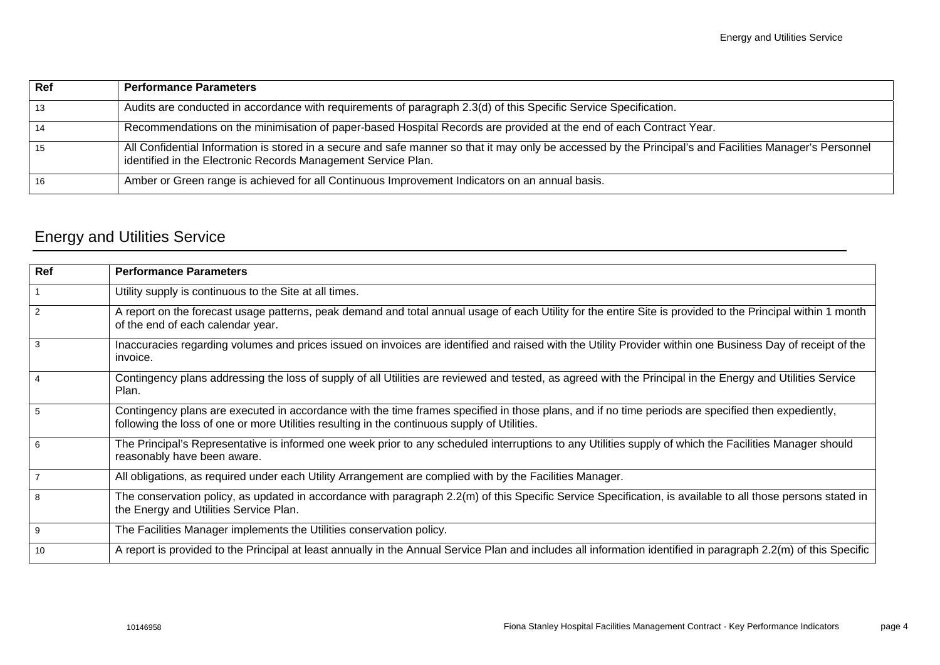| Ref | <b>Performance Parameters</b>                                                                                                                                                                                             |
|-----|---------------------------------------------------------------------------------------------------------------------------------------------------------------------------------------------------------------------------|
| 13  | Audits are conducted in accordance with requirements of paragraph 2.3(d) of this Specific Service Specification.                                                                                                          |
| 14  | Recommendations on the minimisation of paper-based Hospital Records are provided at the end of each Contract Year.                                                                                                        |
| 15  | All Confidential Information is stored in a secure and safe manner so that it may only be accessed by the Principal's and Facilities Manager's Personnel<br>identified in the Electronic Records Management Service Plan. |
| 16  | Amber or Green range is achieved for all Continuous Improvement Indicators on an annual basis.                                                                                                                            |

# <span id="page-6-0"></span>Energy and Utilities Service

| <b>Performance Parameters</b>                                                                                                                                                                                                                      |
|----------------------------------------------------------------------------------------------------------------------------------------------------------------------------------------------------------------------------------------------------|
| Utility supply is continuous to the Site at all times.                                                                                                                                                                                             |
| A report on the forecast usage patterns, peak demand and total annual usage of each Utility for the entire Site is provided to the Principal within 1 month<br>of the end of each calendar year.                                                   |
| Inaccuracies regarding volumes and prices issued on invoices are identified and raised with the Utility Provider within one Business Day of receipt of the<br>invoice.                                                                             |
| Contingency plans addressing the loss of supply of all Utilities are reviewed and tested, as agreed with the Principal in the Energy and Utilities Service<br>Plan.                                                                                |
| Contingency plans are executed in accordance with the time frames specified in those plans, and if no time periods are specified then expediently,<br>following the loss of one or more Utilities resulting in the continuous supply of Utilities. |
| The Principal's Representative is informed one week prior to any scheduled interruptions to any Utilities supply of which the Facilities Manager should<br>reasonably have been aware.                                                             |
| All obligations, as required under each Utility Arrangement are complied with by the Facilities Manager.                                                                                                                                           |
| The conservation policy, as updated in accordance with paragraph 2.2(m) of this Specific Service Specification, is available to all those persons stated in<br>the Energy and Utilities Service Plan.                                              |
| The Facilities Manager implements the Utilities conservation policy.                                                                                                                                                                               |
| A report is provided to the Principal at least annually in the Annual Service Plan and includes all information identified in paragraph 2.2(m) of this Specific                                                                                    |
|                                                                                                                                                                                                                                                    |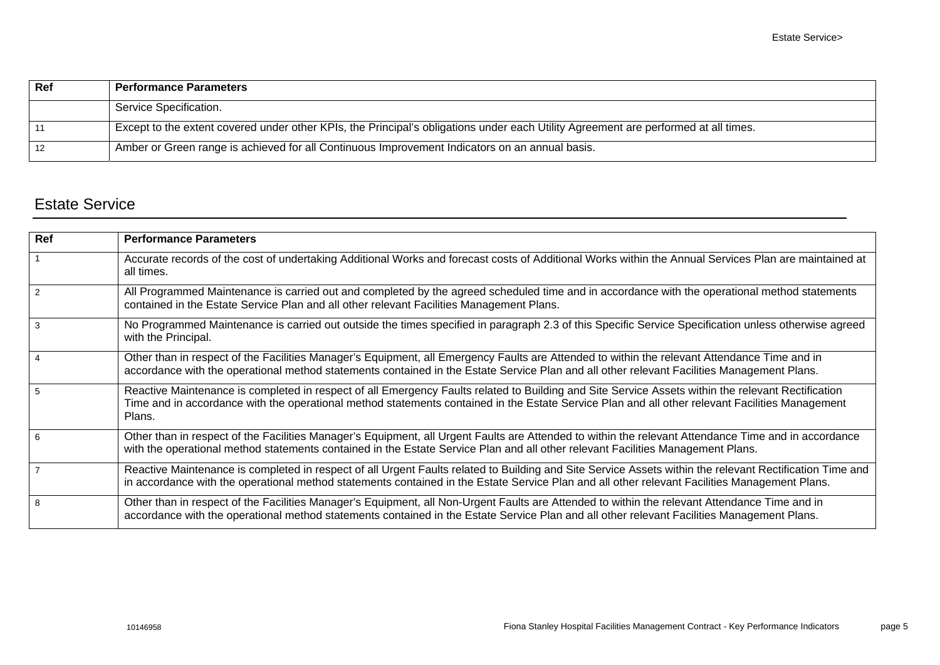| Ref               | <b>Performance Parameters</b>                                                                                                       |
|-------------------|-------------------------------------------------------------------------------------------------------------------------------------|
|                   | Service Specification.                                                                                                              |
| 11                | Except to the extent covered under other KPIs, the Principal's obligations under each Utility Agreement are performed at all times. |
| $12 \overline{ }$ | Amber or Green range is achieved for all Continuous Improvement Indicators on an annual basis.                                      |

### <span id="page-7-0"></span>Estate Service

| Ref            | <b>Performance Parameters</b>                                                                                                                                                                                                                                                                                   |
|----------------|-----------------------------------------------------------------------------------------------------------------------------------------------------------------------------------------------------------------------------------------------------------------------------------------------------------------|
|                | Accurate records of the cost of undertaking Additional Works and forecast costs of Additional Works within the Annual Services Plan are maintained at<br>all times.                                                                                                                                             |
| $\mathcal{P}$  | All Programmed Maintenance is carried out and completed by the agreed scheduled time and in accordance with the operational method statements<br>contained in the Estate Service Plan and all other relevant Facilities Management Plans.                                                                       |
| 3              | No Programmed Maintenance is carried out outside the times specified in paragraph 2.3 of this Specific Service Specification unless otherwise agreed<br>with the Principal.                                                                                                                                     |
| $\overline{4}$ | Other than in respect of the Facilities Manager's Equipment, all Emergency Faults are Attended to within the relevant Attendance Time and in<br>accordance with the operational method statements contained in the Estate Service Plan and all other relevant Facilities Management Plans.                      |
| $5^{\circ}$    | Reactive Maintenance is completed in respect of all Emergency Faults related to Building and Site Service Assets within the relevant Rectification<br>Time and in accordance with the operational method statements contained in the Estate Service Plan and all other relevant Facilities Management<br>Plans. |
| 6              | Other than in respect of the Facilities Manager's Equipment, all Urgent Faults are Attended to within the relevant Attendance Time and in accordance<br>with the operational method statements contained in the Estate Service Plan and all other relevant Facilities Management Plans.                         |
|                | Reactive Maintenance is completed in respect of all Urgent Faults related to Building and Site Service Assets within the relevant Rectification Time and<br>in accordance with the operational method statements contained in the Estate Service Plan and all other relevant Facilities Management Plans.       |
| 8              | Other than in respect of the Facilities Manager's Equipment, all Non-Urgent Faults are Attended to within the relevant Attendance Time and in<br>accordance with the operational method statements contained in the Estate Service Plan and all other relevant Facilities Management Plans.                     |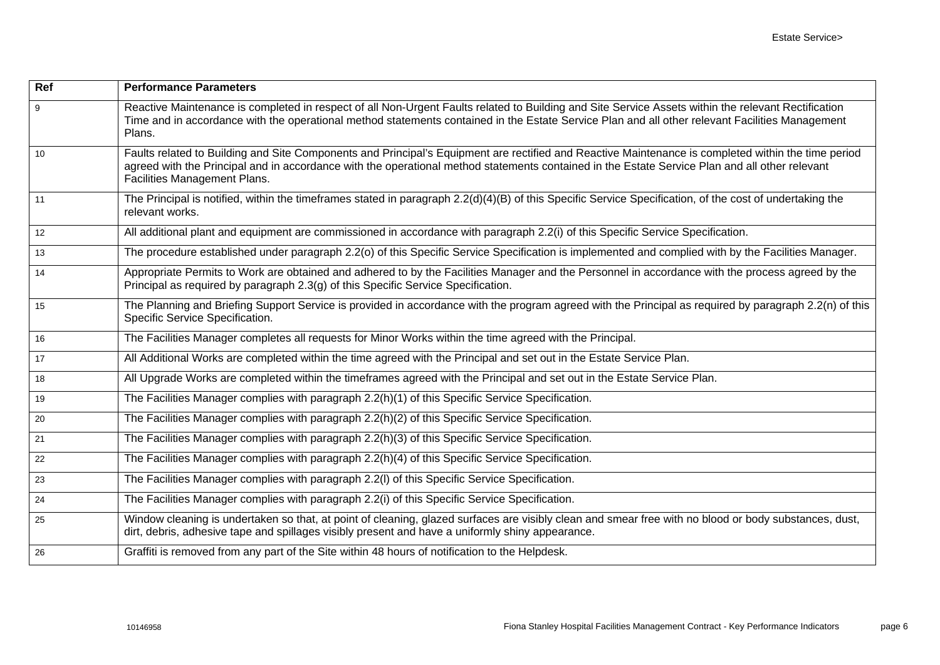| Ref | <b>Performance Parameters</b>                                                                                                                                                                                                                                                                                                         |
|-----|---------------------------------------------------------------------------------------------------------------------------------------------------------------------------------------------------------------------------------------------------------------------------------------------------------------------------------------|
| 9   | Reactive Maintenance is completed in respect of all Non-Urgent Faults related to Building and Site Service Assets within the relevant Rectification<br>Time and in accordance with the operational method statements contained in the Estate Service Plan and all other relevant Facilities Management<br>Plans.                      |
| 10  | Faults related to Building and Site Components and Principal's Equipment are rectified and Reactive Maintenance is completed within the time period<br>agreed with the Principal and in accordance with the operational method statements contained in the Estate Service Plan and all other relevant<br>Facilities Management Plans. |
| 11  | The Principal is notified, within the timeframes stated in paragraph 2.2(d)(4)(B) of this Specific Service Specification, of the cost of undertaking the<br>relevant works.                                                                                                                                                           |
| 12  | All additional plant and equipment are commissioned in accordance with paragraph 2.2(i) of this Specific Service Specification.                                                                                                                                                                                                       |
| 13  | The procedure established under paragraph 2.2(o) of this Specific Service Specification is implemented and complied with by the Facilities Manager.                                                                                                                                                                                   |
| 14  | Appropriate Permits to Work are obtained and adhered to by the Facilities Manager and the Personnel in accordance with the process agreed by the<br>Principal as required by paragraph 2.3(g) of this Specific Service Specification.                                                                                                 |
| 15  | The Planning and Briefing Support Service is provided in accordance with the program agreed with the Principal as required by paragraph 2.2(n) of this<br>Specific Service Specification.                                                                                                                                             |
| 16  | The Facilities Manager completes all requests for Minor Works within the time agreed with the Principal.                                                                                                                                                                                                                              |
| 17  | All Additional Works are completed within the time agreed with the Principal and set out in the Estate Service Plan.                                                                                                                                                                                                                  |
| 18  | All Upgrade Works are completed within the timeframes agreed with the Principal and set out in the Estate Service Plan.                                                                                                                                                                                                               |
| 19  | The Facilities Manager complies with paragraph 2.2(h)(1) of this Specific Service Specification.                                                                                                                                                                                                                                      |
| 20  | The Facilities Manager complies with paragraph 2.2(h)(2) of this Specific Service Specification.                                                                                                                                                                                                                                      |
| 21  | The Facilities Manager complies with paragraph 2.2(h)(3) of this Specific Service Specification.                                                                                                                                                                                                                                      |
| 22  | The Facilities Manager complies with paragraph 2.2(h)(4) of this Specific Service Specification.                                                                                                                                                                                                                                      |
| 23  | The Facilities Manager complies with paragraph 2.2(I) of this Specific Service Specification.                                                                                                                                                                                                                                         |
| 24  | The Facilities Manager complies with paragraph 2.2(i) of this Specific Service Specification.                                                                                                                                                                                                                                         |
| 25  | Window cleaning is undertaken so that, at point of cleaning, glazed surfaces are visibly clean and smear free with no blood or body substances, dust,<br>dirt, debris, adhesive tape and spillages visibly present and have a uniformly shiny appearance.                                                                             |
| 26  | Graffiti is removed from any part of the Site within 48 hours of notification to the Helpdesk.                                                                                                                                                                                                                                        |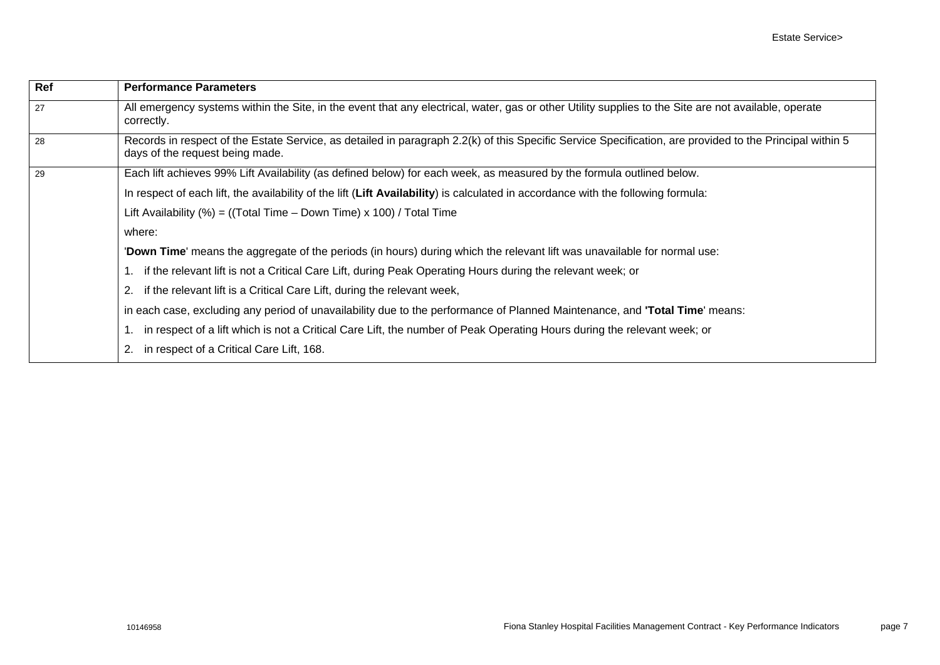| Ref | <b>Performance Parameters</b>                                                                                                                                                               |
|-----|---------------------------------------------------------------------------------------------------------------------------------------------------------------------------------------------|
| 27  | All emergency systems within the Site, in the event that any electrical, water, gas or other Utility supplies to the Site are not available, operate<br>correctly.                          |
| 28  | Records in respect of the Estate Service, as detailed in paragraph 2.2(k) of this Specific Service Specification, are provided to the Principal within 5<br>days of the request being made. |
| 29  | Each lift achieves 99% Lift Availability (as defined below) for each week, as measured by the formula outlined below.                                                                       |
|     | In respect of each lift, the availability of the lift (Lift Availability) is calculated in accordance with the following formula:                                                           |
|     | Lift Availability $(\%)$ = ((Total Time – Down Time) x 100) / Total Time                                                                                                                    |
|     | where:                                                                                                                                                                                      |
|     | 'Down Time' means the aggregate of the periods (in hours) during which the relevant lift was unavailable for normal use:                                                                    |
|     | if the relevant lift is not a Critical Care Lift, during Peak Operating Hours during the relevant week; or                                                                                  |
|     | if the relevant lift is a Critical Care Lift, during the relevant week,                                                                                                                     |
|     | in each case, excluding any period of unavailability due to the performance of Planned Maintenance, and <b>Total Time</b> means:                                                            |
|     | in respect of a lift which is not a Critical Care Lift, the number of Peak Operating Hours during the relevant week; or                                                                     |
|     | in respect of a Critical Care Lift, 168.                                                                                                                                                    |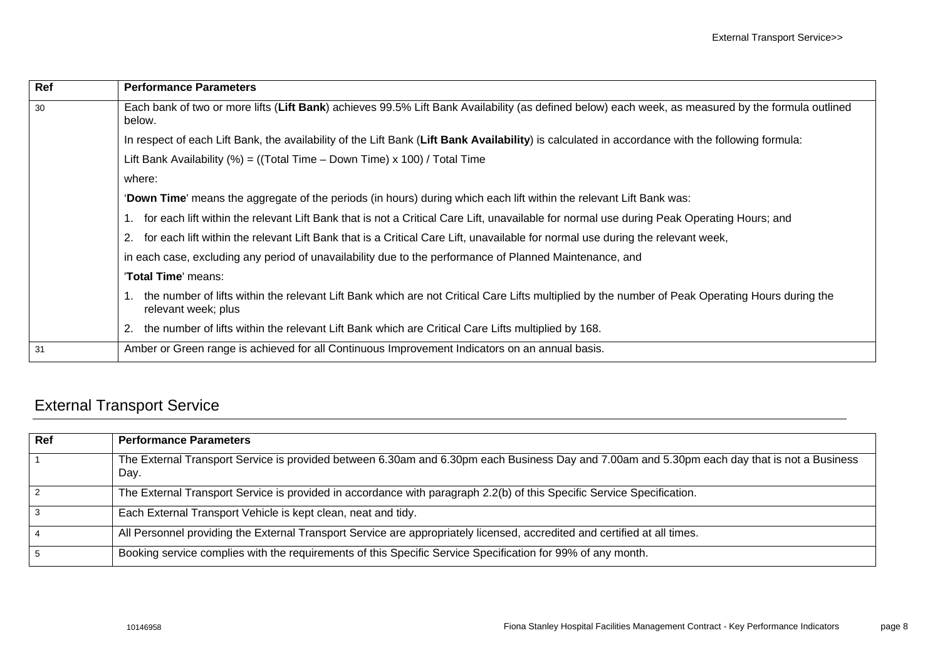| Ref | <b>Performance Parameters</b>                                                                                                                                          |
|-----|------------------------------------------------------------------------------------------------------------------------------------------------------------------------|
| 30  | Each bank of two or more lifts (Lift Bank) achieves 99.5% Lift Bank Availability (as defined below) each week, as measured by the formula outlined<br>below.           |
|     | In respect of each Lift Bank, the availability of the Lift Bank (Lift Bank Availability) is calculated in accordance with the following formula:                       |
|     | Lift Bank Availability (%) = ((Total Time $-$ Down Time) x 100) / Total Time                                                                                           |
|     | where:                                                                                                                                                                 |
|     | 'Down Time' means the aggregate of the periods (in hours) during which each lift within the relevant Lift Bank was:                                                    |
|     | for each lift within the relevant Lift Bank that is not a Critical Care Lift, unavailable for normal use during Peak Operating Hours; and                              |
|     | for each lift within the relevant Lift Bank that is a Critical Care Lift, unavailable for normal use during the relevant week,                                         |
|     | in each case, excluding any period of unavailability due to the performance of Planned Maintenance, and                                                                |
|     | 'Total Time' means:                                                                                                                                                    |
|     | the number of lifts within the relevant Lift Bank which are not Critical Care Lifts multiplied by the number of Peak Operating Hours during the<br>relevant week; plus |
|     | the number of lifts within the relevant Lift Bank which are Critical Care Lifts multiplied by 168.                                                                     |
| 31  | Amber or Green range is achieved for all Continuous Improvement Indicators on an annual basis.                                                                         |

# <span id="page-10-0"></span>External Transport Service

| Ref | <b>Performance Parameters</b>                                                                                                                        |
|-----|------------------------------------------------------------------------------------------------------------------------------------------------------|
|     | The External Transport Service is provided between 6.30am and 6.30pm each Business Day and 7.00am and 5.30pm each day that is not a Business<br>Day. |
|     | The External Transport Service is provided in accordance with paragraph 2.2(b) of this Specific Service Specification.                               |
| 3   | Each External Transport Vehicle is kept clean, neat and tidy.                                                                                        |
|     | All Personnel providing the External Transport Service are appropriately licensed, accredited and certified at all times.                            |
| 5   | Booking service complies with the requirements of this Specific Service Specification for 99% of any month.                                          |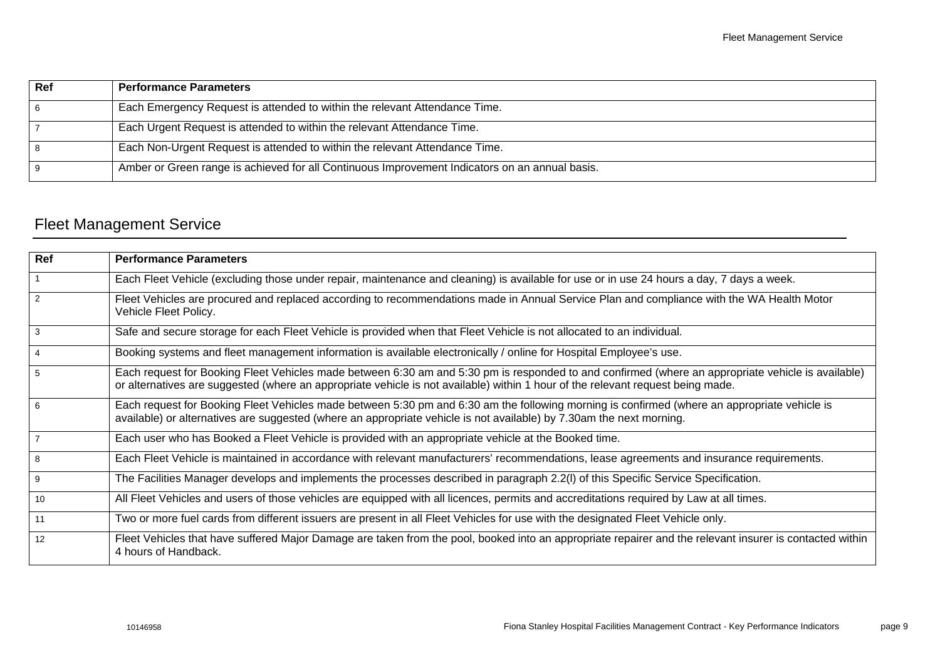| Ref | <b>Performance Parameters</b>                                                                  |
|-----|------------------------------------------------------------------------------------------------|
| 6   | Each Emergency Request is attended to within the relevant Attendance Time.                     |
|     | Each Urgent Request is attended to within the relevant Attendance Time.                        |
| 8   | Each Non-Urgent Request is attended to within the relevant Attendance Time.                    |
| 9   | Amber or Green range is achieved for all Continuous Improvement Indicators on an annual basis. |

# <span id="page-11-0"></span>Fleet Management Service

| <b>Ref</b>     | <b>Performance Parameters</b>                                                                                                                                                                                                                                                         |
|----------------|---------------------------------------------------------------------------------------------------------------------------------------------------------------------------------------------------------------------------------------------------------------------------------------|
| $\mathbf{1}$   | Each Fleet Vehicle (excluding those under repair, maintenance and cleaning) is available for use or in use 24 hours a day, 7 days a week.                                                                                                                                             |
| $\overline{2}$ | Fleet Vehicles are procured and replaced according to recommendations made in Annual Service Plan and compliance with the WA Health Motor<br>Vehicle Fleet Policy.                                                                                                                    |
| 3              | Safe and secure storage for each Fleet Vehicle is provided when that Fleet Vehicle is not allocated to an individual.                                                                                                                                                                 |
| $\overline{4}$ | Booking systems and fleet management information is available electronically / online for Hospital Employee's use.                                                                                                                                                                    |
| 5              | Each request for Booking Fleet Vehicles made between 6:30 am and 5:30 pm is responded to and confirmed (where an appropriate vehicle is available)<br>or alternatives are suggested (where an appropriate vehicle is not available) within 1 hour of the relevant request being made. |
| 6              | Each request for Booking Fleet Vehicles made between 5:30 pm and 6:30 am the following morning is confirmed (where an appropriate vehicle is<br>available) or alternatives are suggested (where an appropriate vehicle is not available) by 7.30am the next morning.                  |
| $\overline{7}$ | Each user who has Booked a Fleet Vehicle is provided with an appropriate vehicle at the Booked time.                                                                                                                                                                                  |
| 8              | Each Fleet Vehicle is maintained in accordance with relevant manufacturers' recommendations, lease agreements and insurance requirements.                                                                                                                                             |
| 9              | The Facilities Manager develops and implements the processes described in paragraph 2.2(I) of this Specific Service Specification.                                                                                                                                                    |
| 10             | All Fleet Vehicles and users of those vehicles are equipped with all licences, permits and accreditations required by Law at all times.                                                                                                                                               |
| 11             | Two or more fuel cards from different issuers are present in all Fleet Vehicles for use with the designated Fleet Vehicle only.                                                                                                                                                       |
| 12             | Fleet Vehicles that have suffered Major Damage are taken from the pool, booked into an appropriate repairer and the relevant insurer is contacted within<br>4 hours of Handback.                                                                                                      |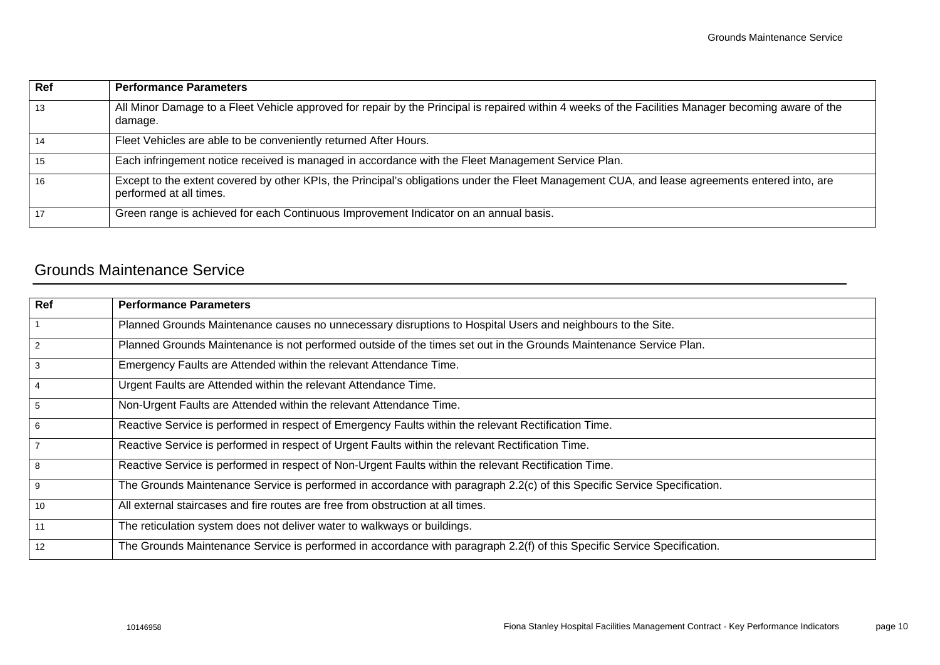| Ref | <b>Performance Parameters</b>                                                                                                                                             |
|-----|---------------------------------------------------------------------------------------------------------------------------------------------------------------------------|
| 13  | All Minor Damage to a Fleet Vehicle approved for repair by the Principal is repaired within 4 weeks of the Facilities Manager becoming aware of the<br>damage.            |
| 14  | Fleet Vehicles are able to be conveniently returned After Hours.                                                                                                          |
| 15  | Each infringement notice received is managed in accordance with the Fleet Management Service Plan.                                                                        |
| 16  | Except to the extent covered by other KPIs, the Principal's obligations under the Fleet Management CUA, and lease agreements entered into, are<br>performed at all times. |
| 17  | Green range is achieved for each Continuous Improvement Indicator on an annual basis.                                                                                     |

#### <span id="page-12-0"></span>Grounds Maintenance Service

| $\overline{Ref}$ | <b>Performance Parameters</b>                                                                                            |
|------------------|--------------------------------------------------------------------------------------------------------------------------|
| $\overline{1}$   | Planned Grounds Maintenance causes no unnecessary disruptions to Hospital Users and neighbours to the Site.              |
| $\overline{2}$   | Planned Grounds Maintenance is not performed outside of the times set out in the Grounds Maintenance Service Plan.       |
| 3                | Emergency Faults are Attended within the relevant Attendance Time.                                                       |
| $\overline{4}$   | Urgent Faults are Attended within the relevant Attendance Time.                                                          |
| $5\phantom{.0}$  | Non-Urgent Faults are Attended within the relevant Attendance Time.                                                      |
| $6\phantom{.}6$  | Reactive Service is performed in respect of Emergency Faults within the relevant Rectification Time.                     |
| $\overline{7}$   | Reactive Service is performed in respect of Urgent Faults within the relevant Rectification Time.                        |
| 8                | Reactive Service is performed in respect of Non-Urgent Faults within the relevant Rectification Time.                    |
| 9                | The Grounds Maintenance Service is performed in accordance with paragraph 2.2(c) of this Specific Service Specification. |
| 10               | All external staircases and fire routes are free from obstruction at all times.                                          |
| 11               | The reticulation system does not deliver water to walkways or buildings.                                                 |
| 12               | The Grounds Maintenance Service is performed in accordance with paragraph 2.2(f) of this Specific Service Specification. |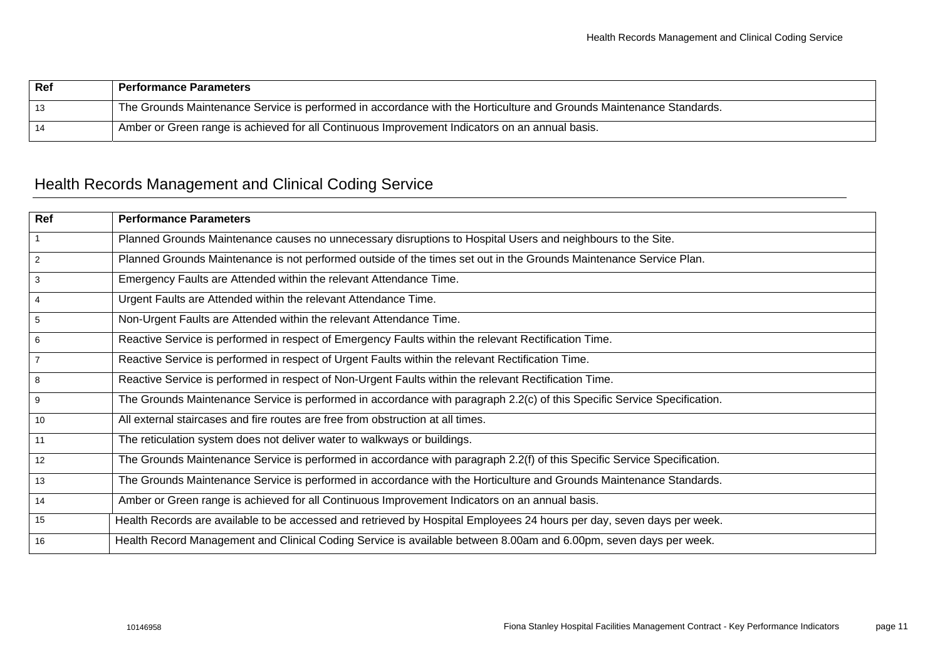| Ref | <b>Performance Parameters</b>                                                                                       |
|-----|---------------------------------------------------------------------------------------------------------------------|
| 13  | The Grounds Maintenance Service is performed in accordance with the Horticulture and Grounds Maintenance Standards. |
| 14  | Amber or Green range is achieved for all Continuous Improvement Indicators on an annual basis.                      |

## <span id="page-13-0"></span>Health Records Management and Clinical Coding Service

| $\overline{Ref}$ | <b>Performance Parameters</b>                                                                                            |
|------------------|--------------------------------------------------------------------------------------------------------------------------|
| $\overline{1}$   | Planned Grounds Maintenance causes no unnecessary disruptions to Hospital Users and neighbours to the Site.              |
| $\overline{2}$   | Planned Grounds Maintenance is not performed outside of the times set out in the Grounds Maintenance Service Plan.       |
| $\mathbf{3}$     | Emergency Faults are Attended within the relevant Attendance Time.                                                       |
| $\overline{4}$   | Urgent Faults are Attended within the relevant Attendance Time.                                                          |
| $5\overline{)}$  | Non-Urgent Faults are Attended within the relevant Attendance Time.                                                      |
| $6\phantom{.}6$  | Reactive Service is performed in respect of Emergency Faults within the relevant Rectification Time.                     |
| $\overline{7}$   | Reactive Service is performed in respect of Urgent Faults within the relevant Rectification Time.                        |
| $\overline{8}$   | Reactive Service is performed in respect of Non-Urgent Faults within the relevant Rectification Time.                    |
| 9                | The Grounds Maintenance Service is performed in accordance with paragraph 2.2(c) of this Specific Service Specification. |
| 10               | All external staircases and fire routes are free from obstruction at all times.                                          |
| 11               | The reticulation system does not deliver water to walkways or buildings.                                                 |
| $\overline{12}$  | The Grounds Maintenance Service is performed in accordance with paragraph 2.2(f) of this Specific Service Specification. |
| 13               | The Grounds Maintenance Service is performed in accordance with the Horticulture and Grounds Maintenance Standards.      |
| 14               | Amber or Green range is achieved for all Continuous Improvement Indicators on an annual basis.                           |
| 15               | Health Records are available to be accessed and retrieved by Hospital Employees 24 hours per day, seven days per week.   |
| 16               | Health Record Management and Clinical Coding Service is available between 8.00am and 6.00pm, seven days per week.        |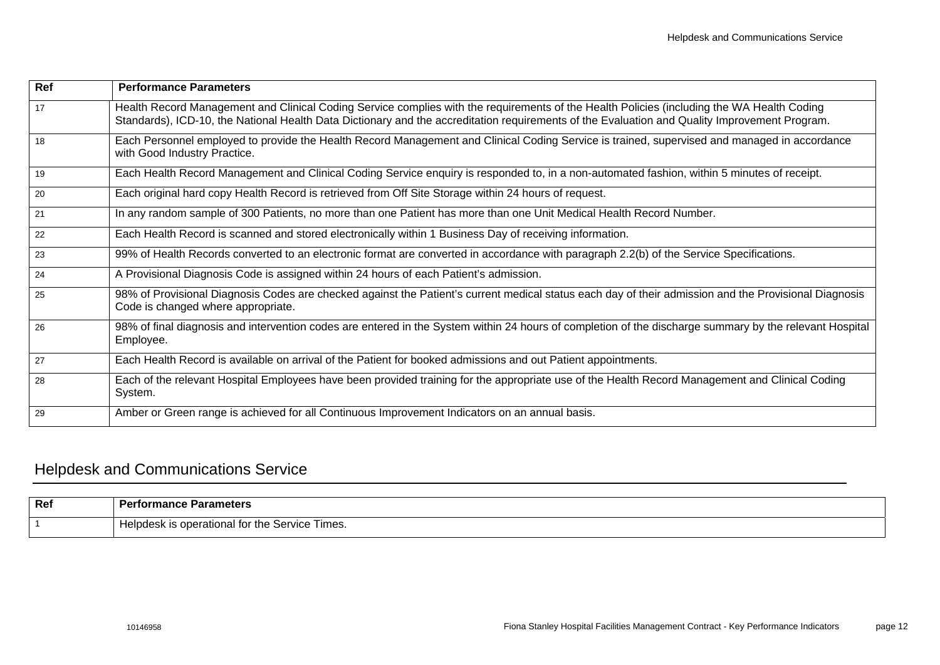| Ref | <b>Performance Parameters</b>                                                                                                                                                                                                                                                               |
|-----|---------------------------------------------------------------------------------------------------------------------------------------------------------------------------------------------------------------------------------------------------------------------------------------------|
| 17  | Health Record Management and Clinical Coding Service complies with the requirements of the Health Policies (including the WA Health Coding<br>Standards), ICD-10, the National Health Data Dictionary and the accreditation requirements of the Evaluation and Quality Improvement Program. |
| 18  | Each Personnel employed to provide the Health Record Management and Clinical Coding Service is trained, supervised and managed in accordance<br>with Good Industry Practice.                                                                                                                |
| 19  | Each Health Record Management and Clinical Coding Service enquiry is responded to, in a non-automated fashion, within 5 minutes of receipt.                                                                                                                                                 |
| 20  | Each original hard copy Health Record is retrieved from Off Site Storage within 24 hours of request.                                                                                                                                                                                        |
| 21  | In any random sample of 300 Patients, no more than one Patient has more than one Unit Medical Health Record Number.                                                                                                                                                                         |
| 22  | Each Health Record is scanned and stored electronically within 1 Business Day of receiving information.                                                                                                                                                                                     |
| 23  | 99% of Health Records converted to an electronic format are converted in accordance with paragraph 2.2(b) of the Service Specifications.                                                                                                                                                    |
| 24  | A Provisional Diagnosis Code is assigned within 24 hours of each Patient's admission.                                                                                                                                                                                                       |
| 25  | 98% of Provisional Diagnosis Codes are checked against the Patient's current medical status each day of their admission and the Provisional Diagnosis<br>Code is changed where appropriate.                                                                                                 |
| 26  | 98% of final diagnosis and intervention codes are entered in the System within 24 hours of completion of the discharge summary by the relevant Hospital<br>Employee.                                                                                                                        |
| 27  | Each Health Record is available on arrival of the Patient for booked admissions and out Patient appointments.                                                                                                                                                                               |
| 28  | Each of the relevant Hospital Employees have been provided training for the appropriate use of the Health Record Management and Clinical Coding<br>System.                                                                                                                                  |
| 29  | Amber or Green range is achieved for all Continuous Improvement Indicators on an annual basis.                                                                                                                                                                                              |

# <span id="page-14-0"></span>Helpdesk and Communications Service

| Ref | Do×<br>`ormance .<br>Parameters                     |
|-----|-----------------------------------------------------|
|     | s operational for the Service Times.<br>Helpdesk is |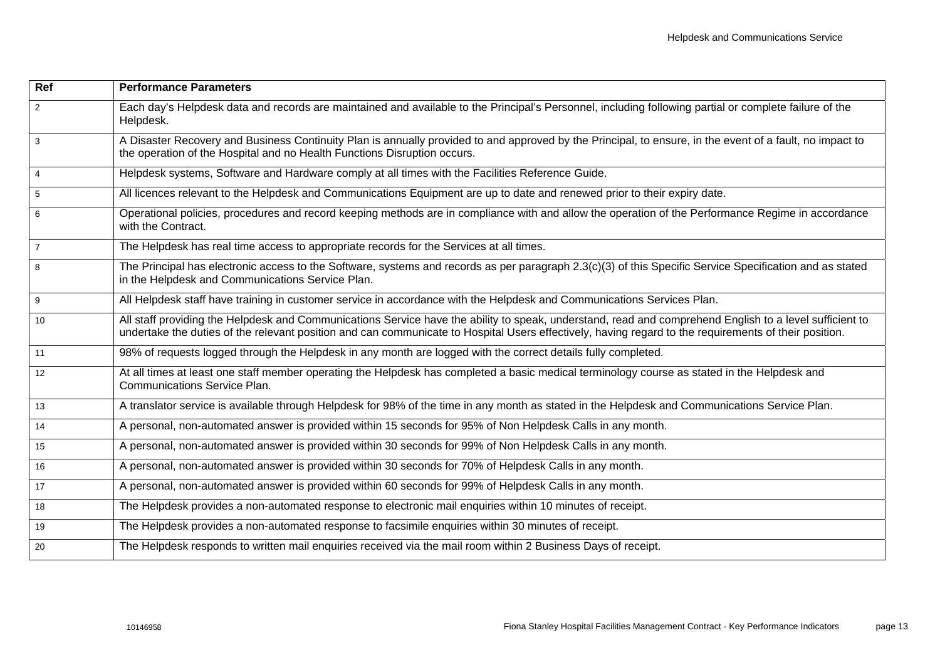| Ref            | <b>Performance Parameters</b>                                                                                                                                                                                                                                                                                    |
|----------------|------------------------------------------------------------------------------------------------------------------------------------------------------------------------------------------------------------------------------------------------------------------------------------------------------------------|
| $\overline{2}$ | Each day's Helpdesk data and records are maintained and available to the Principal's Personnel, including following partial or complete failure of the<br>Helpdesk.                                                                                                                                              |
| $\overline{3}$ | A Disaster Recovery and Business Continuity Plan is annually provided to and approved by the Principal, to ensure, in the event of a fault, no impact to<br>the operation of the Hospital and no Health Functions Disruption occurs.                                                                             |
| $\overline{4}$ | Helpdesk systems, Software and Hardware comply at all times with the Facilities Reference Guide.                                                                                                                                                                                                                 |
| 5              | All licences relevant to the Helpdesk and Communications Equipment are up to date and renewed prior to their expiry date.                                                                                                                                                                                        |
| 6              | Operational policies, procedures and record keeping methods are in compliance with and allow the operation of the Performance Regime in accordance<br>with the Contract.                                                                                                                                         |
| $\overline{7}$ | The Helpdesk has real time access to appropriate records for the Services at all times.                                                                                                                                                                                                                          |
| 8              | The Principal has electronic access to the Software, systems and records as per paragraph 2.3(c)(3) of this Specific Service Specification and as stated<br>in the Helpdesk and Communications Service Plan.                                                                                                     |
| 9              | All Helpdesk staff have training in customer service in accordance with the Helpdesk and Communications Services Plan.                                                                                                                                                                                           |
| 10             | All staff providing the Helpdesk and Communications Service have the ability to speak, understand, read and comprehend English to a level sufficient to<br>undertake the duties of the relevant position and can communicate to Hospital Users effectively, having regard to the requirements of their position. |
| 11             | 98% of requests logged through the Helpdesk in any month are logged with the correct details fully completed.                                                                                                                                                                                                    |
| 12             | At all times at least one staff member operating the Helpdesk has completed a basic medical terminology course as stated in the Helpdesk and<br><b>Communications Service Plan.</b>                                                                                                                              |
| 13             | A translator service is available through Helpdesk for 98% of the time in any month as stated in the Helpdesk and Communications Service Plan.                                                                                                                                                                   |
| 14             | A personal, non-automated answer is provided within 15 seconds for 95% of Non Helpdesk Calls in any month.                                                                                                                                                                                                       |
| 15             | A personal, non-automated answer is provided within 30 seconds for 99% of Non Helpdesk Calls in any month.                                                                                                                                                                                                       |
| 16             | A personal, non-automated answer is provided within 30 seconds for 70% of Helpdesk Calls in any month.                                                                                                                                                                                                           |
| 17             | A personal, non-automated answer is provided within 60 seconds for 99% of Helpdesk Calls in any month.                                                                                                                                                                                                           |
| 18             | The Helpdesk provides a non-automated response to electronic mail enquiries within 10 minutes of receipt.                                                                                                                                                                                                        |
| 19             | The Helpdesk provides a non-automated response to facsimile enquiries within 30 minutes of receipt.                                                                                                                                                                                                              |
| 20             | The Helpdesk responds to written mail enquiries received via the mail room within 2 Business Days of receipt.                                                                                                                                                                                                    |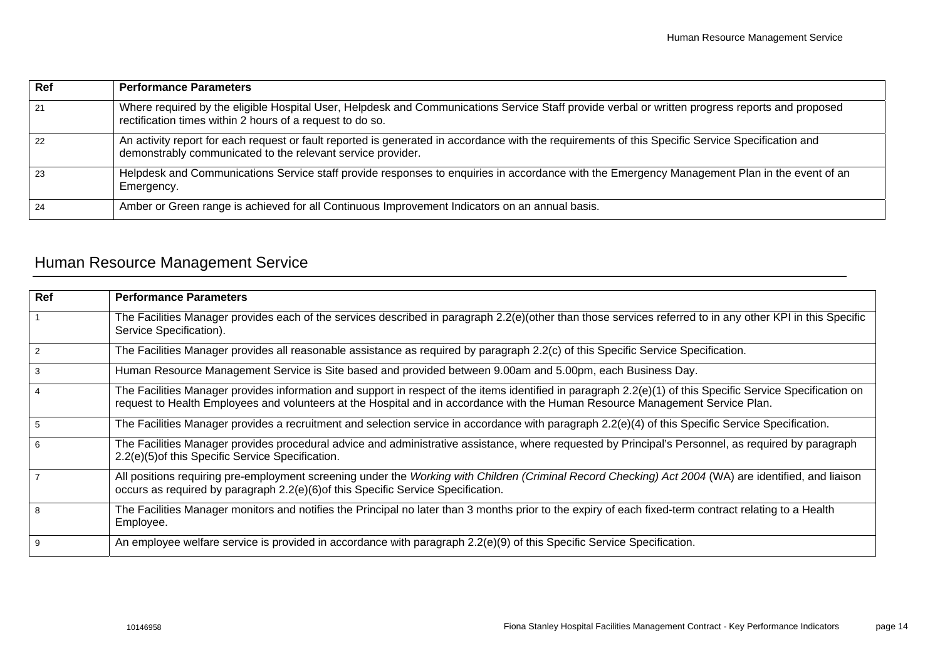| Ref | <b>Performance Parameters</b>                                                                                                                                                                                    |
|-----|------------------------------------------------------------------------------------------------------------------------------------------------------------------------------------------------------------------|
| 21  | Where required by the eligible Hospital User, Helpdesk and Communications Service Staff provide verbal or written progress reports and proposed<br>rectification times within 2 hours of a request to do so.     |
| 22  | An activity report for each request or fault reported is generated in accordance with the requirements of this Specific Service Specification and<br>demonstrably communicated to the relevant service provider. |
| 23  | Helpdesk and Communications Service staff provide responses to enquiries in accordance with the Emergency Management Plan in the event of an<br>Emergency.                                                       |
| 24  | Amber or Green range is achieved for all Continuous Improvement Indicators on an annual basis.                                                                                                                   |

## <span id="page-16-0"></span>Human Resource Management Service

| Ref            | <b>Performance Parameters</b>                                                                                                                                                                                                                                                                |
|----------------|----------------------------------------------------------------------------------------------------------------------------------------------------------------------------------------------------------------------------------------------------------------------------------------------|
|                | The Facilities Manager provides each of the services described in paragraph 2.2(e)(other than those services referred to in any other KPI in this Specific<br>Service Specification).                                                                                                        |
| 2              | The Facilities Manager provides all reasonable assistance as required by paragraph 2.2(c) of this Specific Service Specification.                                                                                                                                                            |
| 3              | Human Resource Management Service is Site based and provided between 9.00am and 5.00pm, each Business Day.                                                                                                                                                                                   |
| $\overline{4}$ | The Facilities Manager provides information and support in respect of the items identified in paragraph 2.2(e)(1) of this Specific Service Specification on<br>request to Health Employees and volunteers at the Hospital and in accordance with the Human Resource Management Service Plan. |
| 5              | The Facilities Manager provides a recruitment and selection service in accordance with paragraph 2.2(e)(4) of this Specific Service Specification.                                                                                                                                           |
| 6              | The Facilities Manager provides procedural advice and administrative assistance, where requested by Principal's Personnel, as required by paragraph<br>2.2(e)(5) of this Specific Service Specification.                                                                                     |
|                | All positions requiring pre-employment screening under the Working with Children (Criminal Record Checking) Act 2004 (WA) are identified, and liaison<br>occurs as required by paragraph 2.2(e)(6) of this Specific Service Specification.                                                   |
| 8              | The Facilities Manager monitors and notifies the Principal no later than 3 months prior to the expiry of each fixed-term contract relating to a Health<br>Employee.                                                                                                                          |
| 9              | An employee welfare service is provided in accordance with paragraph 2.2(e)(9) of this Specific Service Specification.                                                                                                                                                                       |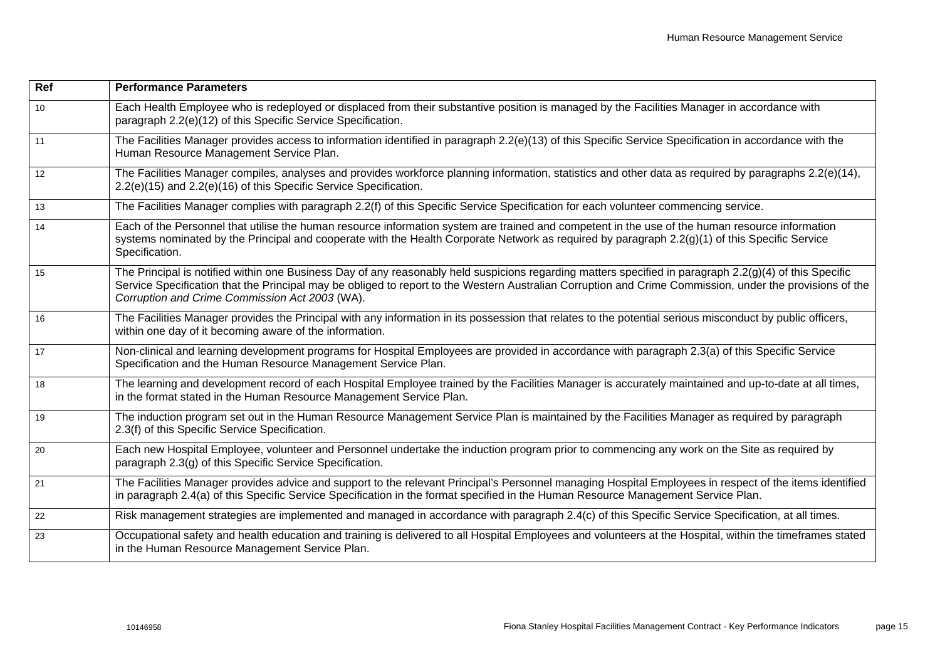| Ref | <b>Performance Parameters</b>                                                                                                                                                                                                                                                                                                                                         |
|-----|-----------------------------------------------------------------------------------------------------------------------------------------------------------------------------------------------------------------------------------------------------------------------------------------------------------------------------------------------------------------------|
| 10  | Each Health Employee who is redeployed or displaced from their substantive position is managed by the Facilities Manager in accordance with<br>paragraph 2.2(e)(12) of this Specific Service Specification.                                                                                                                                                           |
| 11  | The Facilities Manager provides access to information identified in paragraph 2.2(e)(13) of this Specific Service Specification in accordance with the<br>Human Resource Management Service Plan.                                                                                                                                                                     |
| 12  | The Facilities Manager compiles, analyses and provides workforce planning information, statistics and other data as required by paragraphs 2.2(e)(14),<br>2.2(e)(15) and 2.2(e)(16) of this Specific Service Specification.                                                                                                                                           |
| 13  | The Facilities Manager complies with paragraph 2.2(f) of this Specific Service Specification for each volunteer commencing service.                                                                                                                                                                                                                                   |
| 14  | Each of the Personnel that utilise the human resource information system are trained and competent in the use of the human resource information<br>systems nominated by the Principal and cooperate with the Health Corporate Network as required by paragraph 2.2(g)(1) of this Specific Service<br>Specification.                                                   |
| 15  | The Principal is notified within one Business Day of any reasonably held suspicions regarding matters specified in paragraph 2.2(g)(4) of this Specific<br>Service Specification that the Principal may be obliged to report to the Western Australian Corruption and Crime Commission, under the provisions of the<br>Corruption and Crime Commission Act 2003 (WA). |
| 16  | The Facilities Manager provides the Principal with any information in its possession that relates to the potential serious misconduct by public officers,<br>within one day of it becoming aware of the information.                                                                                                                                                  |
| 17  | Non-clinical and learning development programs for Hospital Employees are provided in accordance with paragraph 2.3(a) of this Specific Service<br>Specification and the Human Resource Management Service Plan.                                                                                                                                                      |
| 18  | The learning and development record of each Hospital Employee trained by the Facilities Manager is accurately maintained and up-to-date at all times,<br>in the format stated in the Human Resource Management Service Plan.                                                                                                                                          |
| 19  | The induction program set out in the Human Resource Management Service Plan is maintained by the Facilities Manager as required by paragraph<br>2.3(f) of this Specific Service Specification.                                                                                                                                                                        |
| 20  | Each new Hospital Employee, volunteer and Personnel undertake the induction program prior to commencing any work on the Site as required by<br>paragraph 2.3(g) of this Specific Service Specification.                                                                                                                                                               |
| 21  | The Facilities Manager provides advice and support to the relevant Principal's Personnel managing Hospital Employees in respect of the items identified<br>in paragraph 2.4(a) of this Specific Service Specification in the format specified in the Human Resource Management Service Plan.                                                                          |
| 22  | Risk management strategies are implemented and managed in accordance with paragraph 2.4(c) of this Specific Service Specification, at all times.                                                                                                                                                                                                                      |
| 23  | Occupational safety and health education and training is delivered to all Hospital Employees and volunteers at the Hospital, within the timeframes stated<br>in the Human Resource Management Service Plan.                                                                                                                                                           |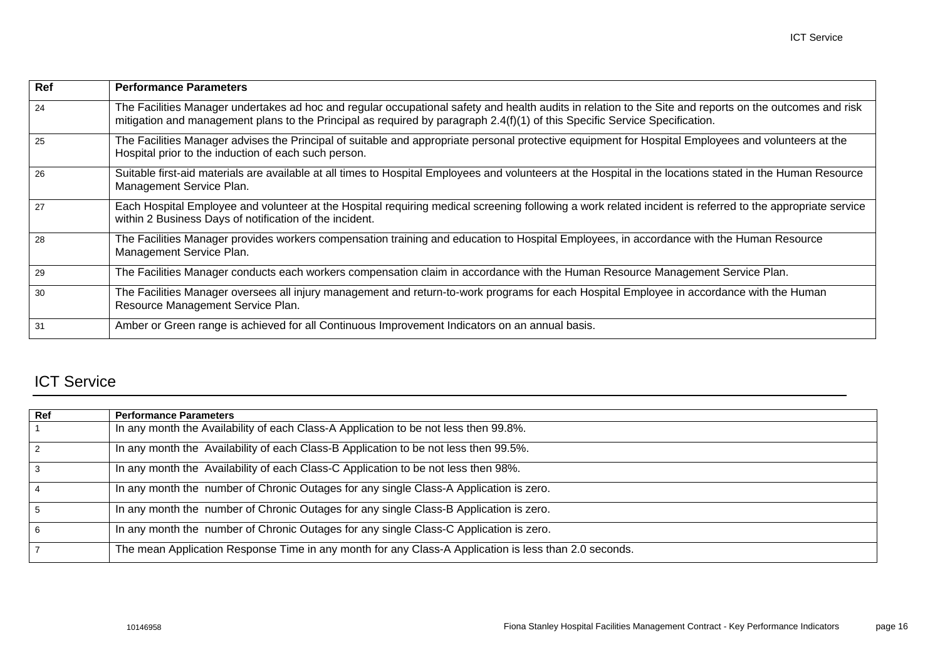| Ref | <b>Performance Parameters</b>                                                                                                                                                                                                                                                          |
|-----|----------------------------------------------------------------------------------------------------------------------------------------------------------------------------------------------------------------------------------------------------------------------------------------|
| 24  | The Facilities Manager undertakes ad hoc and regular occupational safety and health audits in relation to the Site and reports on the outcomes and risk<br>mitigation and management plans to the Principal as required by paragraph 2.4(f)(1) of this Specific Service Specification. |
| 25  | The Facilities Manager advises the Principal of suitable and appropriate personal protective equipment for Hospital Employees and volunteers at the<br>Hospital prior to the induction of each such person.                                                                            |
| 26  | Suitable first-aid materials are available at all times to Hospital Employees and volunteers at the Hospital in the locations stated in the Human Resource<br>Management Service Plan.                                                                                                 |
| 27  | Each Hospital Employee and volunteer at the Hospital requiring medical screening following a work related incident is referred to the appropriate service<br>within 2 Business Days of notification of the incident.                                                                   |
| 28  | The Facilities Manager provides workers compensation training and education to Hospital Employees, in accordance with the Human Resource<br>Management Service Plan.                                                                                                                   |
| 29  | The Facilities Manager conducts each workers compensation claim in accordance with the Human Resource Management Service Plan.                                                                                                                                                         |
| 30  | The Facilities Manager oversees all injury management and return-to-work programs for each Hospital Employee in accordance with the Human<br>Resource Management Service Plan.                                                                                                         |
| 31  | Amber or Green range is achieved for all Continuous Improvement Indicators on an annual basis.                                                                                                                                                                                         |

### <span id="page-18-0"></span>ICT Service

| Ref | <b>Performance Parameters</b>                                                                         |
|-----|-------------------------------------------------------------------------------------------------------|
|     | In any month the Availability of each Class-A Application to be not less then 99.8%.                  |
| 2   | In any month the Availability of each Class-B Application to be not less then 99.5%.                  |
| 3   | In any month the Availability of each Class-C Application to be not less then 98%.                    |
| 4   | In any month the number of Chronic Outages for any single Class-A Application is zero.                |
| 5   | In any month the number of Chronic Outages for any single Class-B Application is zero.                |
| 6   | In any month the number of Chronic Outages for any single Class-C Application is zero.                |
|     | The mean Application Response Time in any month for any Class-A Application is less than 2.0 seconds. |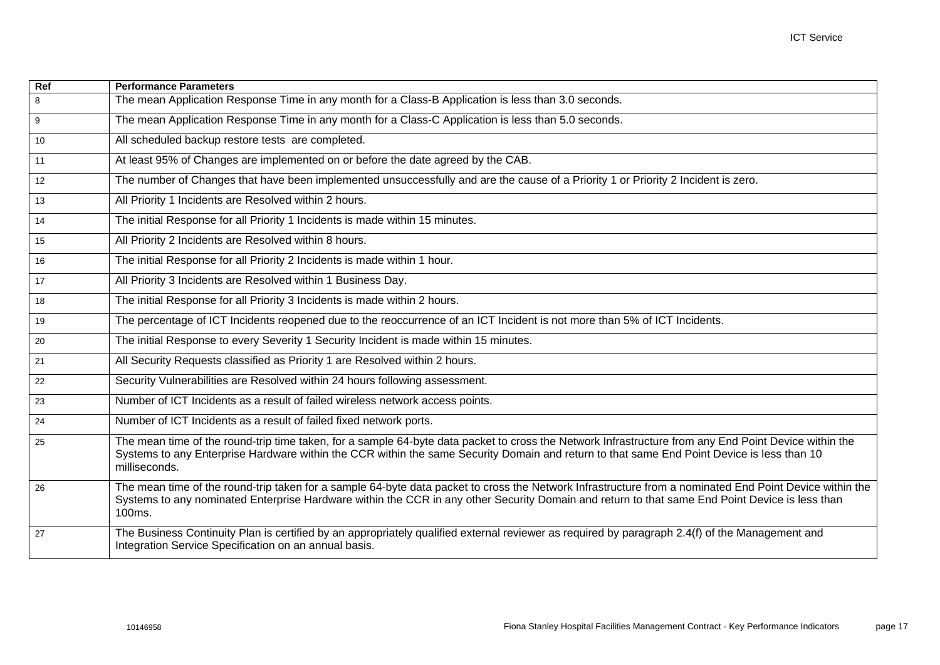| $\overline{Ref}$ | <b>Performance Parameters</b>                                                                                                                                                                                                                                                                                        |
|------------------|----------------------------------------------------------------------------------------------------------------------------------------------------------------------------------------------------------------------------------------------------------------------------------------------------------------------|
| 8                | The mean Application Response Time in any month for a Class-B Application is less than 3.0 seconds.                                                                                                                                                                                                                  |
| $\overline{9}$   | The mean Application Response Time in any month for a Class-C Application is less than 5.0 seconds.                                                                                                                                                                                                                  |
| 10               | All scheduled backup restore tests are completed.                                                                                                                                                                                                                                                                    |
| 11               | At least 95% of Changes are implemented on or before the date agreed by the CAB.                                                                                                                                                                                                                                     |
| 12               | The number of Changes that have been implemented unsuccessfully and are the cause of a Priority 1 or Priority 2 Incident is zero.                                                                                                                                                                                    |
| 13               | All Priority 1 Incidents are Resolved within 2 hours.                                                                                                                                                                                                                                                                |
| 14               | The initial Response for all Priority 1 Incidents is made within 15 minutes.                                                                                                                                                                                                                                         |
| 15               | All Priority 2 Incidents are Resolved within 8 hours.                                                                                                                                                                                                                                                                |
| 16               | The initial Response for all Priority 2 Incidents is made within 1 hour.                                                                                                                                                                                                                                             |
| 17               | All Priority 3 Incidents are Resolved within 1 Business Day.                                                                                                                                                                                                                                                         |
| 18               | The initial Response for all Priority 3 Incidents is made within 2 hours.                                                                                                                                                                                                                                            |
| 19               | The percentage of ICT Incidents reopened due to the reoccurrence of an ICT Incident is not more than 5% of ICT Incidents.                                                                                                                                                                                            |
| 20               | The initial Response to every Severity 1 Security Incident is made within 15 minutes.                                                                                                                                                                                                                                |
| 21               | All Security Requests classified as Priority 1 are Resolved within 2 hours.                                                                                                                                                                                                                                          |
| 22               | Security Vulnerabilities are Resolved within 24 hours following assessment.                                                                                                                                                                                                                                          |
| 23               | Number of ICT Incidents as a result of failed wireless network access points.                                                                                                                                                                                                                                        |
| 24               | Number of ICT Incidents as a result of failed fixed network ports.                                                                                                                                                                                                                                                   |
| 25               | The mean time of the round-trip time taken, for a sample 64-byte data packet to cross the Network Infrastructure from any End Point Device within the<br>Systems to any Enterprise Hardware within the CCR within the same Security Domain and return to that same End Point Device is less than 10<br>milliseconds. |
| 26               | The mean time of the round-trip taken for a sample 64-byte data packet to cross the Network Infrastructure from a nominated End Point Device within the<br>Systems to any nominated Enterprise Hardware within the CCR in any other Security Domain and return to that same End Point Device is less than<br>100ms.  |
| 27               | The Business Continuity Plan is certified by an appropriately qualified external reviewer as required by paragraph 2.4(f) of the Management and<br>Integration Service Specification on an annual basis.                                                                                                             |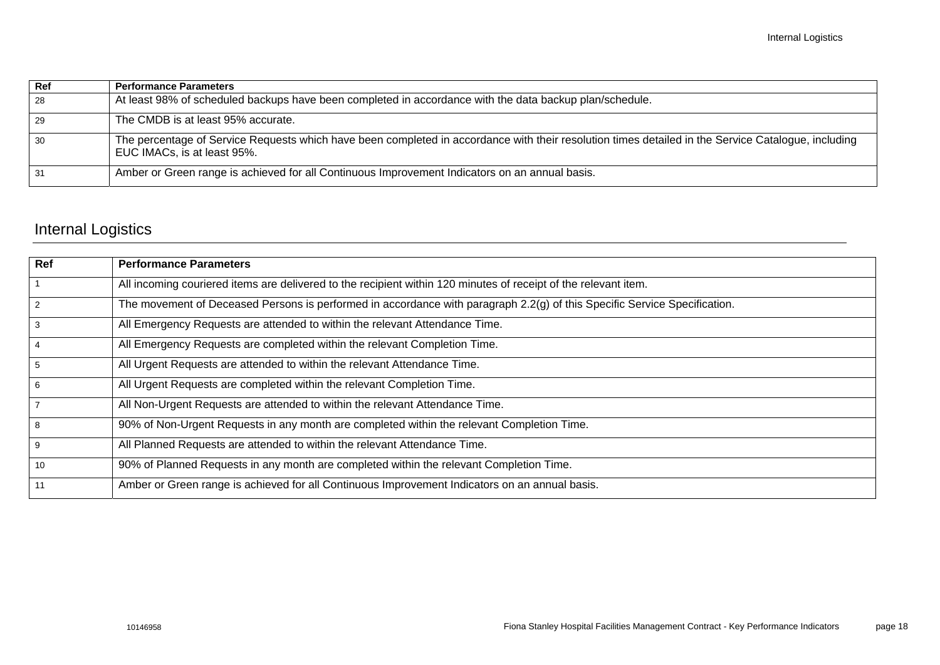| Ref | <b>Performance Parameters</b>                                                                                                                                                      |
|-----|------------------------------------------------------------------------------------------------------------------------------------------------------------------------------------|
| 28  | At least 98% of scheduled backups have been completed in accordance with the data backup plan/schedule.                                                                            |
| 29  | The CMDB is at least 95% accurate.                                                                                                                                                 |
| 30  | The percentage of Service Requests which have been completed in accordance with their resolution times detailed in the Service Catalogue, including<br>EUC IMACs, is at least 95%. |
| 31  | Amber or Green range is achieved for all Continuous Improvement Indicators on an annual basis.                                                                                     |

# <span id="page-20-0"></span>Internal Logistics

| Ref            | <b>Performance Parameters</b>                                                                                             |
|----------------|---------------------------------------------------------------------------------------------------------------------------|
|                | All incoming couriered items are delivered to the recipient within 120 minutes of receipt of the relevant item.           |
| $\overline{2}$ | The movement of Deceased Persons is performed in accordance with paragraph 2.2(g) of this Specific Service Specification. |
| 3              | All Emergency Requests are attended to within the relevant Attendance Time.                                               |
| $\overline{4}$ | All Emergency Requests are completed within the relevant Completion Time.                                                 |
| 5              | All Urgent Requests are attended to within the relevant Attendance Time.                                                  |
| 6              | All Urgent Requests are completed within the relevant Completion Time.                                                    |
| $\overline{7}$ | All Non-Urgent Requests are attended to within the relevant Attendance Time.                                              |
| 8              | 90% of Non-Urgent Requests in any month are completed within the relevant Completion Time.                                |
| 9              | All Planned Requests are attended to within the relevant Attendance Time.                                                 |
| 10             | 90% of Planned Requests in any month are completed within the relevant Completion Time.                                   |
| 11             | Amber or Green range is achieved for all Continuous Improvement Indicators on an annual basis.                            |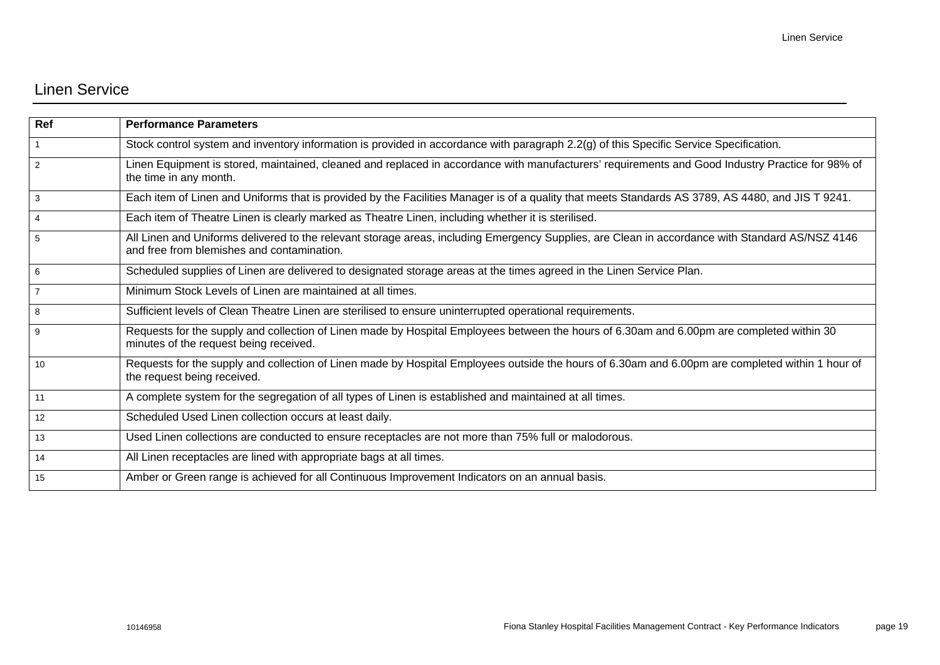#### <span id="page-21-0"></span>Linen Service

| Ref             | <b>Performance Parameters</b>                                                                                                                                                                 |
|-----------------|-----------------------------------------------------------------------------------------------------------------------------------------------------------------------------------------------|
|                 | Stock control system and inventory information is provided in accordance with paragraph 2.2(g) of this Specific Service Specification.                                                        |
| 2               | Linen Equipment is stored, maintained, cleaned and replaced in accordance with manufacturers' requirements and Good Industry Practice for 98% of<br>the time in any month.                    |
| 3               | Each item of Linen and Uniforms that is provided by the Facilities Manager is of a quality that meets Standards AS 3789, AS 4480, and JIS T 9241.                                             |
| $\overline{4}$  | Each item of Theatre Linen is clearly marked as Theatre Linen, including whether it is sterilised.                                                                                            |
| 5               | All Linen and Uniforms delivered to the relevant storage areas, including Emergency Supplies, are Clean in accordance with Standard AS/NSZ 4146<br>and free from blemishes and contamination. |
| 6               | Scheduled supplies of Linen are delivered to designated storage areas at the times agreed in the Linen Service Plan.                                                                          |
|                 | Minimum Stock Levels of Linen are maintained at all times.                                                                                                                                    |
| 8               | Sufficient levels of Clean Theatre Linen are sterilised to ensure uninterrupted operational requirements.                                                                                     |
| 9               | Requests for the supply and collection of Linen made by Hospital Employees between the hours of 6.30am and 6.00pm are completed within 30<br>minutes of the request being received.           |
| 10              | Requests for the supply and collection of Linen made by Hospital Employees outside the hours of 6.30am and 6.00pm are completed within 1 hour of<br>the request being received.               |
| 11              | A complete system for the segregation of all types of Linen is established and maintained at all times.                                                                                       |
| 12 <sup>2</sup> | Scheduled Used Linen collection occurs at least daily.                                                                                                                                        |
| 13              | Used Linen collections are conducted to ensure receptacles are not more than 75% full or malodorous.                                                                                          |
| 14              | All Linen receptacles are lined with appropriate bags at all times.                                                                                                                           |
| 15              | Amber or Green range is achieved for all Continuous Improvement Indicators on an annual basis.                                                                                                |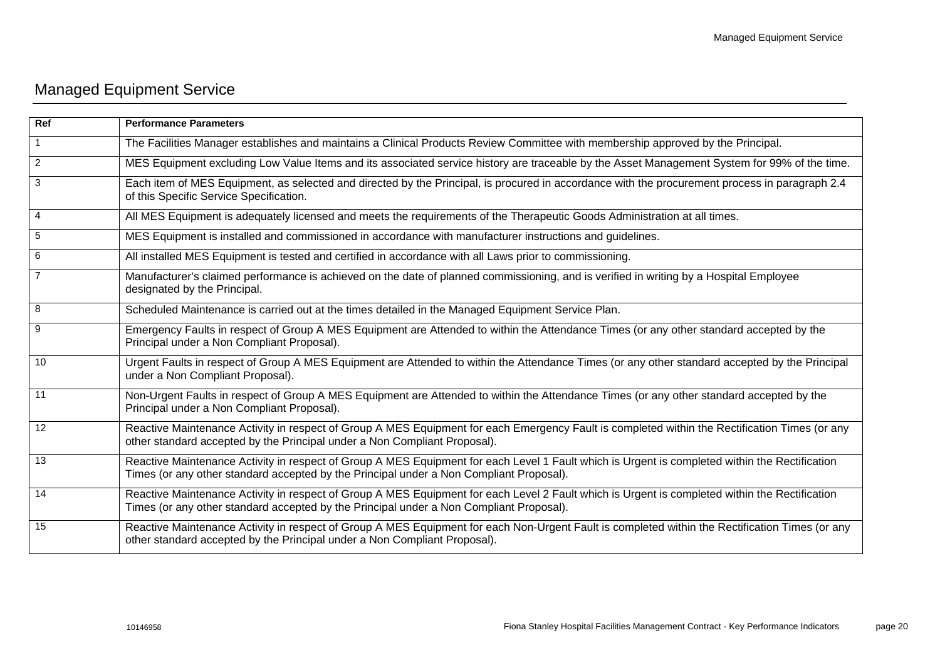# <span id="page-22-0"></span>Managed Equipment Service

| Ref            | <b>Performance Parameters</b>                                                                                                                                                                                                             |
|----------------|-------------------------------------------------------------------------------------------------------------------------------------------------------------------------------------------------------------------------------------------|
|                | The Facilities Manager establishes and maintains a Clinical Products Review Committee with membership approved by the Principal.                                                                                                          |
| $\overline{2}$ | MES Equipment excluding Low Value Items and its associated service history are traceable by the Asset Management System for 99% of the time.                                                                                              |
| 3              | Each item of MES Equipment, as selected and directed by the Principal, is procured in accordance with the procurement process in paragraph 2.4<br>of this Specific Service Specification.                                                 |
| 4              | All MES Equipment is adequately licensed and meets the requirements of the Therapeutic Goods Administration at all times.                                                                                                                 |
| 5              | MES Equipment is installed and commissioned in accordance with manufacturer instructions and guidelines.                                                                                                                                  |
| 6              | All installed MES Equipment is tested and certified in accordance with all Laws prior to commissioning.                                                                                                                                   |
| 7              | Manufacturer's claimed performance is achieved on the date of planned commissioning, and is verified in writing by a Hospital Employee<br>designated by the Principal.                                                                    |
| 8              | Scheduled Maintenance is carried out at the times detailed in the Managed Equipment Service Plan.                                                                                                                                         |
| 9              | Emergency Faults in respect of Group A MES Equipment are Attended to within the Attendance Times (or any other standard accepted by the<br>Principal under a Non Compliant Proposal).                                                     |
| 10             | Urgent Faults in respect of Group A MES Equipment are Attended to within the Attendance Times (or any other standard accepted by the Principal<br>under a Non Compliant Proposal).                                                        |
| 11             | Non-Urgent Faults in respect of Group A MES Equipment are Attended to within the Attendance Times (or any other standard accepted by the<br>Principal under a Non Compliant Proposal).                                                    |
| 12             | Reactive Maintenance Activity in respect of Group A MES Equipment for each Emergency Fault is completed within the Rectification Times (or any<br>other standard accepted by the Principal under a Non Compliant Proposal).               |
| 13             | Reactive Maintenance Activity in respect of Group A MES Equipment for each Level 1 Fault which is Urgent is completed within the Rectification<br>Times (or any other standard accepted by the Principal under a Non Compliant Proposal). |
| 14             | Reactive Maintenance Activity in respect of Group A MES Equipment for each Level 2 Fault which is Urgent is completed within the Rectification<br>Times (or any other standard accepted by the Principal under a Non Compliant Proposal). |
| 15             | Reactive Maintenance Activity in respect of Group A MES Equipment for each Non-Urgent Fault is completed within the Rectification Times (or any<br>other standard accepted by the Principal under a Non Compliant Proposal).              |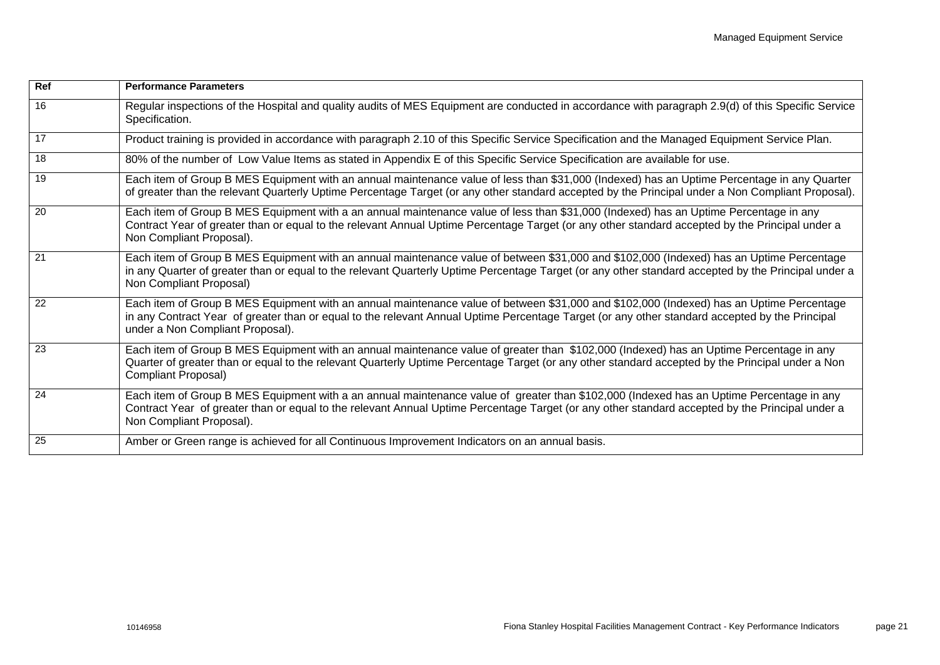| Ref             | <b>Performance Parameters</b>                                                                                                                                                                                                                                                                                                  |
|-----------------|--------------------------------------------------------------------------------------------------------------------------------------------------------------------------------------------------------------------------------------------------------------------------------------------------------------------------------|
| 16              | Regular inspections of the Hospital and quality audits of MES Equipment are conducted in accordance with paragraph 2.9(d) of this Specific Service<br>Specification.                                                                                                                                                           |
| 17              | Product training is provided in accordance with paragraph 2.10 of this Specific Service Specification and the Managed Equipment Service Plan.                                                                                                                                                                                  |
| 18              | 80% of the number of Low Value Items as stated in Appendix E of this Specific Service Specification are available for use.                                                                                                                                                                                                     |
| 19              | Each item of Group B MES Equipment with an annual maintenance value of less than \$31,000 (Indexed) has an Uptime Percentage in any Quarter<br>of greater than the relevant Quarterly Uptime Percentage Target (or any other standard accepted by the Principal under a Non Compliant Proposal).                               |
| $\overline{20}$ | Each item of Group B MES Equipment with a an annual maintenance value of less than \$31,000 (Indexed) has an Uptime Percentage in any<br>Contract Year of greater than or equal to the relevant Annual Uptime Percentage Target (or any other standard accepted by the Principal under a<br>Non Compliant Proposal).           |
| 21              | Each item of Group B MES Equipment with an annual maintenance value of between \$31,000 and \$102,000 (Indexed) has an Uptime Percentage<br>in any Quarter of greater than or equal to the relevant Quarterly Uptime Percentage Target (or any other standard accepted by the Principal under a<br>Non Compliant Proposal)     |
| 22              | Each item of Group B MES Equipment with an annual maintenance value of between \$31,000 and \$102,000 (Indexed) has an Uptime Percentage<br>in any Contract Year of greater than or equal to the relevant Annual Uptime Percentage Target (or any other standard accepted by the Principal<br>under a Non Compliant Proposal). |
| -23             | Each item of Group B MES Equipment with an annual maintenance value of greater than \$102,000 (Indexed) has an Uptime Percentage in any<br>Quarter of greater than or equal to the relevant Quarterly Uptime Percentage Target (or any other standard accepted by the Principal under a Non<br>Compliant Proposal)             |
| 24              | Each item of Group B MES Equipment with a an annual maintenance value of greater than \$102,000 (Indexed has an Uptime Percentage in any<br>Contract Year of greater than or equal to the relevant Annual Uptime Percentage Target (or any other standard accepted by the Principal under a<br>Non Compliant Proposal).        |
| 25              | Amber or Green range is achieved for all Continuous Improvement Indicators on an annual basis.                                                                                                                                                                                                                                 |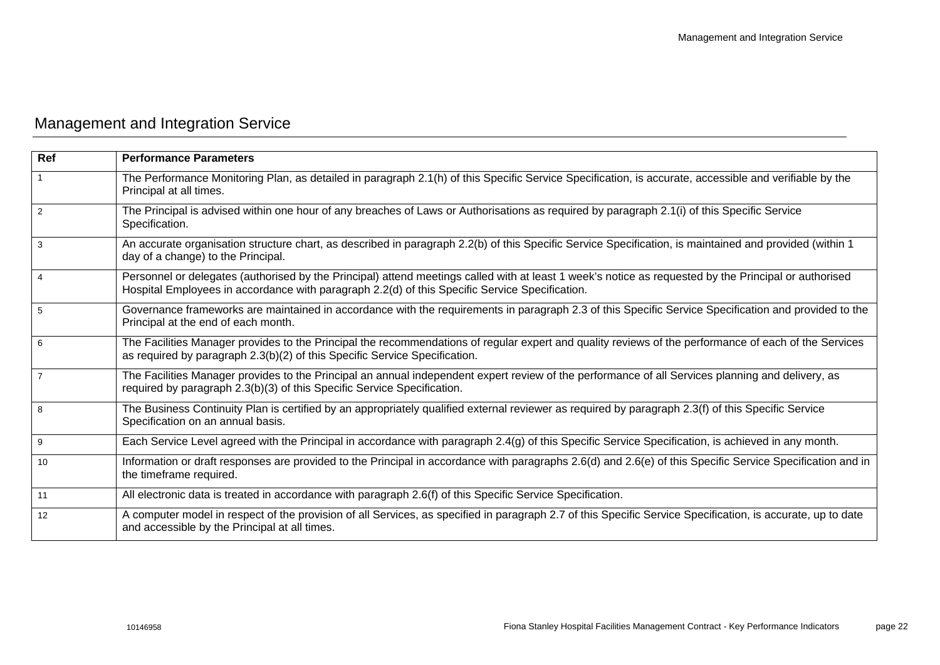# <span id="page-24-0"></span>Management and Integration Service

| <b>Ref</b>     | <b>Performance Parameters</b>                                                                                                                                                                                                                           |
|----------------|---------------------------------------------------------------------------------------------------------------------------------------------------------------------------------------------------------------------------------------------------------|
|                | The Performance Monitoring Plan, as detailed in paragraph 2.1(h) of this Specific Service Specification, is accurate, accessible and verifiable by the<br>Principal at all times.                                                                       |
| 2              | The Principal is advised within one hour of any breaches of Laws or Authorisations as required by paragraph 2.1(i) of this Specific Service<br>Specification.                                                                                           |
| 3              | An accurate organisation structure chart, as described in paragraph 2.2(b) of this Specific Service Specification, is maintained and provided (within 1<br>day of a change) to the Principal.                                                           |
|                | Personnel or delegates (authorised by the Principal) attend meetings called with at least 1 week's notice as requested by the Principal or authorised<br>Hospital Employees in accordance with paragraph 2.2(d) of this Specific Service Specification. |
| 5              | Governance frameworks are maintained in accordance with the requirements in paragraph 2.3 of this Specific Service Specification and provided to the<br>Principal at the end of each month.                                                             |
| 6              | The Facilities Manager provides to the Principal the recommendations of regular expert and quality reviews of the performance of each of the Services<br>as required by paragraph 2.3(b)(2) of this Specific Service Specification.                     |
| $\overline{7}$ | The Facilities Manager provides to the Principal an annual independent expert review of the performance of all Services planning and delivery, as<br>required by paragraph 2.3(b)(3) of this Specific Service Specification.                            |
| 8              | The Business Continuity Plan is certified by an appropriately qualified external reviewer as required by paragraph 2.3(f) of this Specific Service<br>Specification on an annual basis.                                                                 |
| 9              | Each Service Level agreed with the Principal in accordance with paragraph 2.4(g) of this Specific Service Specification, is achieved in any month.                                                                                                      |
| 10             | Information or draft responses are provided to the Principal in accordance with paragraphs 2.6(d) and 2.6(e) of this Specific Service Specification and in<br>the timeframe required.                                                                   |
| 11             | All electronic data is treated in accordance with paragraph 2.6(f) of this Specific Service Specification.                                                                                                                                              |
| 12             | A computer model in respect of the provision of all Services, as specified in paragraph 2.7 of this Specific Service Specification, is accurate, up to date<br>and accessible by the Principal at all times.                                            |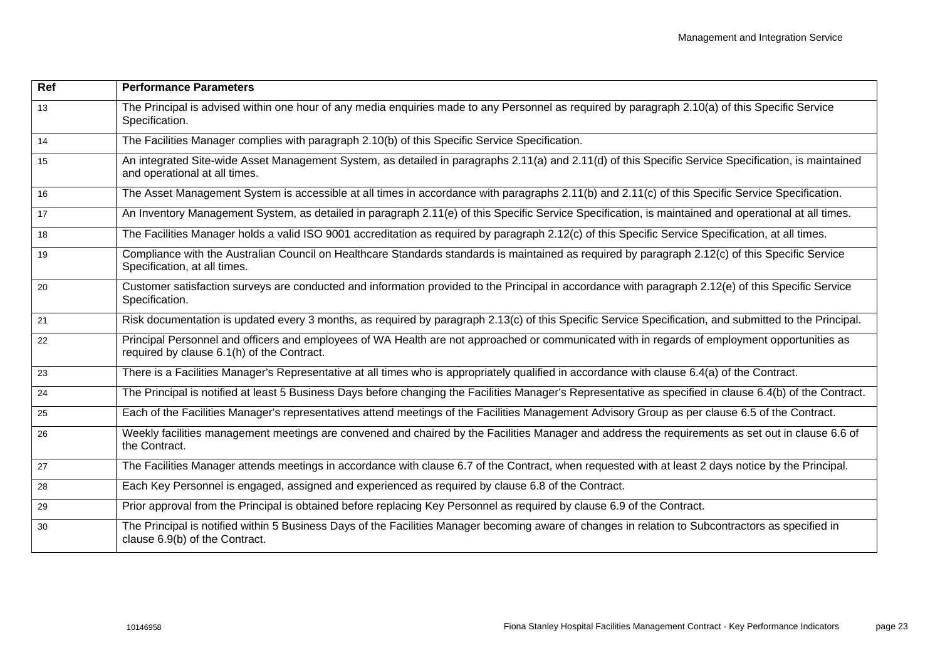| Ref | <b>Performance Parameters</b>                                                                                                                                                               |
|-----|---------------------------------------------------------------------------------------------------------------------------------------------------------------------------------------------|
| 13  | The Principal is advised within one hour of any media enquiries made to any Personnel as required by paragraph 2.10(a) of this Specific Service<br>Specification.                           |
| 14  | The Facilities Manager complies with paragraph 2.10(b) of this Specific Service Specification.                                                                                              |
| 15  | An integrated Site-wide Asset Management System, as detailed in paragraphs 2.11(a) and 2.11(d) of this Specific Service Specification, is maintained<br>and operational at all times.       |
| 16  | The Asset Management System is accessible at all times in accordance with paragraphs 2.11(b) and 2.11(c) of this Specific Service Specification.                                            |
| 17  | An Inventory Management System, as detailed in paragraph 2.11(e) of this Specific Service Specification, is maintained and operational at all times.                                        |
| 18  | The Facilities Manager holds a valid ISO 9001 accreditation as required by paragraph 2.12(c) of this Specific Service Specification, at all times.                                          |
| 19  | Compliance with the Australian Council on Healthcare Standards standards is maintained as required by paragraph 2.12(c) of this Specific Service<br>Specification, at all times.            |
| 20  | Customer satisfaction surveys are conducted and information provided to the Principal in accordance with paragraph 2.12(e) of this Specific Service<br>Specification.                       |
| 21  | Risk documentation is updated every 3 months, as required by paragraph 2.13(c) of this Specific Service Specification, and submitted to the Principal.                                      |
| 22  | Principal Personnel and officers and employees of WA Health are not approached or communicated with in regards of employment opportunities as<br>required by clause 6.1(h) of the Contract. |
| 23  | There is a Facilities Manager's Representative at all times who is appropriately qualified in accordance with clause 6.4(a) of the Contract.                                                |
| 24  | The Principal is notified at least 5 Business Days before changing the Facilities Manager's Representative as specified in clause 6.4(b) of the Contract.                                   |
| 25  | Each of the Facilities Manager's representatives attend meetings of the Facilities Management Advisory Group as per clause 6.5 of the Contract.                                             |
| 26  | Weekly facilities management meetings are convened and chaired by the Facilities Manager and address the requirements as set out in clause 6.6 of<br>the Contract.                          |
| 27  | The Facilities Manager attends meetings in accordance with clause 6.7 of the Contract, when requested with at least 2 days notice by the Principal.                                         |
| 28  | Each Key Personnel is engaged, assigned and experienced as required by clause 6.8 of the Contract.                                                                                          |
| 29  | Prior approval from the Principal is obtained before replacing Key Personnel as required by clause 6.9 of the Contract.                                                                     |
| 30  | The Principal is notified within 5 Business Days of the Facilities Manager becoming aware of changes in relation to Subcontractors as specified in<br>clause 6.9(b) of the Contract.        |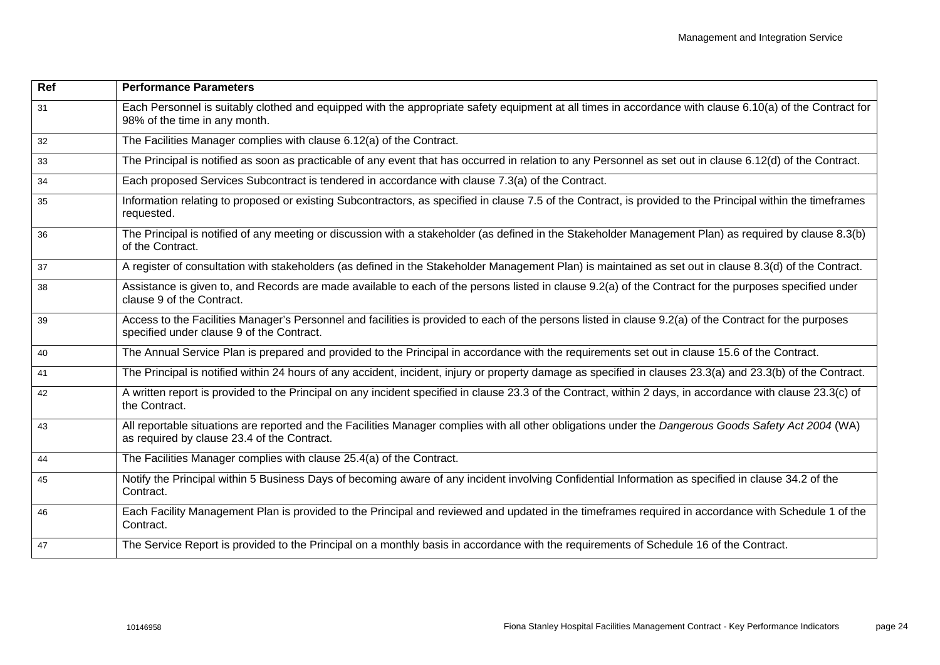| Ref | <b>Performance Parameters</b>                                                                                                                                                                        |
|-----|------------------------------------------------------------------------------------------------------------------------------------------------------------------------------------------------------|
| 31  | Each Personnel is suitably clothed and equipped with the appropriate safety equipment at all times in accordance with clause 6.10(a) of the Contract for<br>98% of the time in any month.            |
| 32  | The Facilities Manager complies with clause 6.12(a) of the Contract.                                                                                                                                 |
| 33  | The Principal is notified as soon as practicable of any event that has occurred in relation to any Personnel as set out in clause 6.12(d) of the Contract.                                           |
| 34  | Each proposed Services Subcontract is tendered in accordance with clause 7.3(a) of the Contract.                                                                                                     |
| 35  | Information relating to proposed or existing Subcontractors, as specified in clause 7.5 of the Contract, is provided to the Principal within the timeframes<br>requested.                            |
| 36  | The Principal is notified of any meeting or discussion with a stakeholder (as defined in the Stakeholder Management Plan) as required by clause 8.3(b)<br>of the Contract.                           |
| 37  | A register of consultation with stakeholders (as defined in the Stakeholder Management Plan) is maintained as set out in clause 8.3(d) of the Contract.                                              |
| 38  | Assistance is given to, and Records are made available to each of the persons listed in clause 9.2(a) of the Contract for the purposes specified under<br>clause 9 of the Contract.                  |
| 39  | Access to the Facilities Manager's Personnel and facilities is provided to each of the persons listed in clause 9.2(a) of the Contract for the purposes<br>specified under clause 9 of the Contract. |
| 40  | The Annual Service Plan is prepared and provided to the Principal in accordance with the requirements set out in clause 15.6 of the Contract.                                                        |
| 41  | The Principal is notified within 24 hours of any accident, incident, injury or property damage as specified in clauses 23.3(a) and 23.3(b) of the Contract.                                          |
| 42  | A written report is provided to the Principal on any incident specified in clause 23.3 of the Contract, within 2 days, in accordance with clause 23.3(c) of<br>the Contract.                         |
| 43  | All reportable situations are reported and the Facilities Manager complies with all other obligations under the Dangerous Goods Safety Act 2004 (WA)<br>as required by clause 23.4 of the Contract.  |
| 44  | The Facilities Manager complies with clause 25.4(a) of the Contract.                                                                                                                                 |
| 45  | Notify the Principal within 5 Business Days of becoming aware of any incident involving Confidential Information as specified in clause 34.2 of the<br>Contract.                                     |
| 46  | Each Facility Management Plan is provided to the Principal and reviewed and updated in the timeframes required in accordance with Schedule 1 of the<br>Contract.                                     |
| 47  | The Service Report is provided to the Principal on a monthly basis in accordance with the requirements of Schedule 16 of the Contract.                                                               |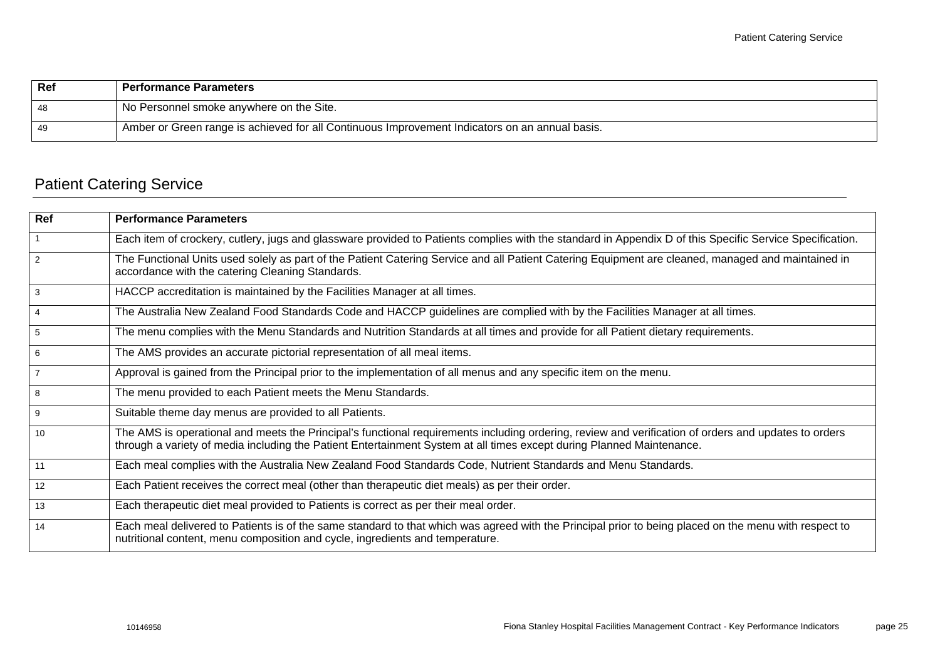| Ref | <b>Performance Parameters</b>                                                                  |
|-----|------------------------------------------------------------------------------------------------|
| 48  | No Personnel smoke anywhere on the Site.                                                       |
| 49  | Amber or Green range is achieved for all Continuous Improvement Indicators on an annual basis. |

# <span id="page-27-0"></span>Patient Catering Service

| Ref             | <b>Performance Parameters</b>                                                                                                                                                                                                                                                 |
|-----------------|-------------------------------------------------------------------------------------------------------------------------------------------------------------------------------------------------------------------------------------------------------------------------------|
| $\overline{1}$  | Each item of crockery, cutlery, jugs and glassware provided to Patients complies with the standard in Appendix D of this Specific Service Specification.                                                                                                                      |
| $\overline{2}$  | The Functional Units used solely as part of the Patient Catering Service and all Patient Catering Equipment are cleaned, managed and maintained in<br>accordance with the catering Cleaning Standards.                                                                        |
| $\mathbf{3}$    | HACCP accreditation is maintained by the Facilities Manager at all times.                                                                                                                                                                                                     |
| $\overline{4}$  | The Australia New Zealand Food Standards Code and HACCP guidelines are complied with by the Facilities Manager at all times.                                                                                                                                                  |
| $5\phantom{.0}$ | The menu complies with the Menu Standards and Nutrition Standards at all times and provide for all Patient dietary requirements.                                                                                                                                              |
| 6               | The AMS provides an accurate pictorial representation of all meal items.                                                                                                                                                                                                      |
| $\overline{7}$  | Approval is gained from the Principal prior to the implementation of all menus and any specific item on the menu.                                                                                                                                                             |
| 8               | The menu provided to each Patient meets the Menu Standards.                                                                                                                                                                                                                   |
| 9               | Suitable theme day menus are provided to all Patients.                                                                                                                                                                                                                        |
| 10              | The AMS is operational and meets the Principal's functional requirements including ordering, review and verification of orders and updates to orders<br>through a variety of media including the Patient Entertainment System at all times except during Planned Maintenance. |
| 11              | Each meal complies with the Australia New Zealand Food Standards Code, Nutrient Standards and Menu Standards.                                                                                                                                                                 |
| 12              | Each Patient receives the correct meal (other than therapeutic diet meals) as per their order.                                                                                                                                                                                |
| 13              | Each therapeutic diet meal provided to Patients is correct as per their meal order.                                                                                                                                                                                           |
| 14              | Each meal delivered to Patients is of the same standard to that which was agreed with the Principal prior to being placed on the menu with respect to<br>nutritional content, menu composition and cycle, ingredients and temperature.                                        |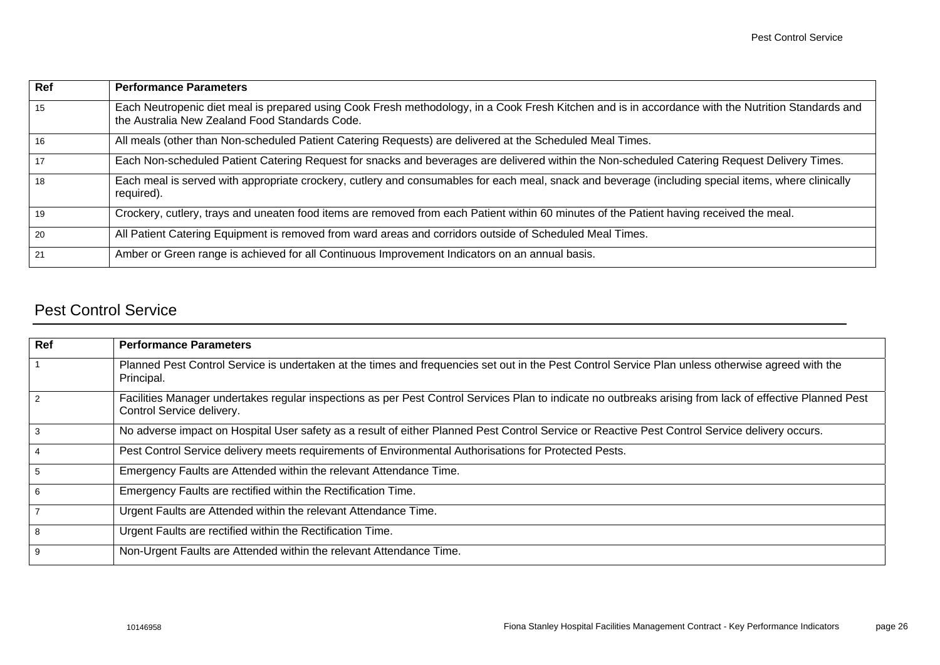| Ref | <b>Performance Parameters</b>                                                                                                                                                                        |
|-----|------------------------------------------------------------------------------------------------------------------------------------------------------------------------------------------------------|
| 15  | Each Neutropenic diet meal is prepared using Cook Fresh methodology, in a Cook Fresh Kitchen and is in accordance with the Nutrition Standards and<br>the Australia New Zealand Food Standards Code. |
| 16  | All meals (other than Non-scheduled Patient Catering Requests) are delivered at the Scheduled Meal Times.                                                                                            |
| 17  | Each Non-scheduled Patient Catering Request for snacks and beverages are delivered within the Non-scheduled Catering Request Delivery Times.                                                         |
| 18  | Each meal is served with appropriate crockery, cutlery and consumables for each meal, snack and beverage (including special items, where clinically<br>required).                                    |
| 19  | Crockery, cutlery, trays and uneaten food items are removed from each Patient within 60 minutes of the Patient having received the meal.                                                             |
| 20  | All Patient Catering Equipment is removed from ward areas and corridors outside of Scheduled Meal Times.                                                                                             |
| 21  | Amber or Green range is achieved for all Continuous Improvement Indicators on an annual basis.                                                                                                       |

## <span id="page-28-0"></span>Pest Control Service

| Ref            | <b>Performance Parameters</b>                                                                                                                                                         |
|----------------|---------------------------------------------------------------------------------------------------------------------------------------------------------------------------------------|
|                | Planned Pest Control Service is undertaken at the times and frequencies set out in the Pest Control Service Plan unless otherwise agreed with the<br>Principal.                       |
| $\mathcal{P}$  | Facilities Manager undertakes regular inspections as per Pest Control Services Plan to indicate no outbreaks arising from lack of effective Planned Pest<br>Control Service delivery. |
| 3              | No adverse impact on Hospital User safety as a result of either Planned Pest Control Service or Reactive Pest Control Service delivery occurs.                                        |
| $\overline{4}$ | Pest Control Service delivery meets requirements of Environmental Authorisations for Protected Pests.                                                                                 |
| 5              | Emergency Faults are Attended within the relevant Attendance Time.                                                                                                                    |
| 6              | Emergency Faults are rectified within the Rectification Time.                                                                                                                         |
| $\overline{7}$ | Urgent Faults are Attended within the relevant Attendance Time.                                                                                                                       |
| 8              | Urgent Faults are rectified within the Rectification Time.                                                                                                                            |
| 9              | Non-Urgent Faults are Attended within the relevant Attendance Time.                                                                                                                   |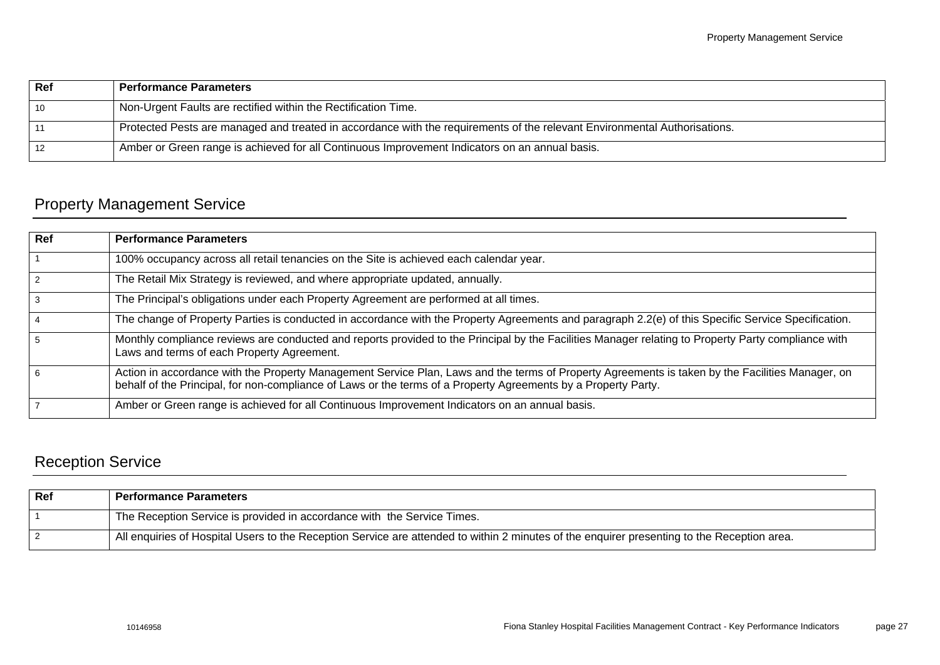| Ref | <b>Performance Parameters</b>                                                                                             |
|-----|---------------------------------------------------------------------------------------------------------------------------|
| 10  | Non-Urgent Faults are rectified within the Rectification Time.                                                            |
| 11  | Protected Pests are managed and treated in accordance with the requirements of the relevant Environmental Authorisations. |
| 12  | Amber or Green range is achieved for all Continuous Improvement Indicators on an annual basis.                            |

# <span id="page-29-0"></span>Property Management Service

| <b>Ref</b>    | <b>Performance Parameters</b>                                                                                                                                                                                                                                      |
|---------------|--------------------------------------------------------------------------------------------------------------------------------------------------------------------------------------------------------------------------------------------------------------------|
|               | 100% occupancy across all retail tenancies on the Site is achieved each calendar year.                                                                                                                                                                             |
| $\mathcal{P}$ | The Retail Mix Strategy is reviewed, and where appropriate updated, annually.                                                                                                                                                                                      |
| 3             | The Principal's obligations under each Property Agreement are performed at all times.                                                                                                                                                                              |
| 4             | The change of Property Parties is conducted in accordance with the Property Agreements and paragraph 2.2(e) of this Specific Service Specification.                                                                                                                |
| 5             | Monthly compliance reviews are conducted and reports provided to the Principal by the Facilities Manager relating to Property Party compliance with<br>Laws and terms of each Property Agreement.                                                                  |
| 6             | Action in accordance with the Property Management Service Plan, Laws and the terms of Property Agreements is taken by the Facilities Manager, on<br>behalf of the Principal, for non-compliance of Laws or the terms of a Property Agreements by a Property Party. |
|               | Amber or Green range is achieved for all Continuous Improvement Indicators on an annual basis.                                                                                                                                                                     |

# <span id="page-29-1"></span>Reception Service

| Ref | <b>Performance Parameters</b>                                                                                                               |
|-----|---------------------------------------------------------------------------------------------------------------------------------------------|
|     | The Reception Service is provided in accordance with the Service Times.                                                                     |
|     | All enquiries of Hospital Users to the Reception Service are attended to within 2 minutes of the enquirer presenting to the Reception area. |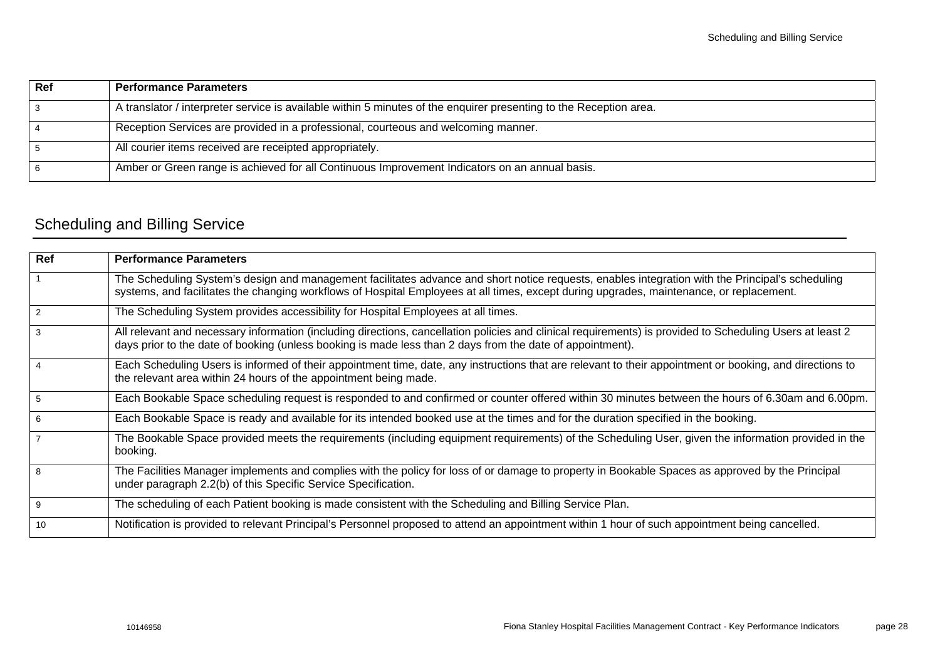| Ref | <b>Performance Parameters</b>                                                                                      |
|-----|--------------------------------------------------------------------------------------------------------------------|
|     | A translator / interpreter service is available within 5 minutes of the enquirer presenting to the Reception area. |
|     | Reception Services are provided in a professional, courteous and welcoming manner.                                 |
|     | All courier items received are receipted appropriately.                                                            |
|     | Amber or Green range is achieved for all Continuous Improvement Indicators on an annual basis.                     |

# <span id="page-30-0"></span>Scheduling and Billing Service

| Ref            | <b>Performance Parameters</b>                                                                                                                                                                                                                                                                |
|----------------|----------------------------------------------------------------------------------------------------------------------------------------------------------------------------------------------------------------------------------------------------------------------------------------------|
| $\mathbf{1}$   | The Scheduling System's design and management facilitates advance and short notice requests, enables integration with the Principal's scheduling<br>systems, and facilitates the changing workflows of Hospital Employees at all times, except during upgrades, maintenance, or replacement. |
| 2              | The Scheduling System provides accessibility for Hospital Employees at all times.                                                                                                                                                                                                            |
| 3              | All relevant and necessary information (including directions, cancellation policies and clinical requirements) is provided to Scheduling Users at least 2<br>days prior to the date of booking (unless booking is made less than 2 days from the date of appointment).                       |
| $\overline{4}$ | Each Scheduling Users is informed of their appointment time, date, any instructions that are relevant to their appointment or booking, and directions to<br>the relevant area within 24 hours of the appointment being made.                                                                 |
| 5              | Each Bookable Space scheduling request is responded to and confirmed or counter offered within 30 minutes between the hours of 6.30am and 6.00pm.                                                                                                                                            |
| 6              | Each Bookable Space is ready and available for its intended booked use at the times and for the duration specified in the booking.                                                                                                                                                           |
|                | The Bookable Space provided meets the requirements (including equipment requirements) of the Scheduling User, given the information provided in the<br>booking.                                                                                                                              |
| 8              | The Facilities Manager implements and complies with the policy for loss of or damage to property in Bookable Spaces as approved by the Principal<br>under paragraph 2.2(b) of this Specific Service Specification.                                                                           |
| 9              | The scheduling of each Patient booking is made consistent with the Scheduling and Billing Service Plan.                                                                                                                                                                                      |
| 10             | Notification is provided to relevant Principal's Personnel proposed to attend an appointment within 1 hour of such appointment being cancelled.                                                                                                                                              |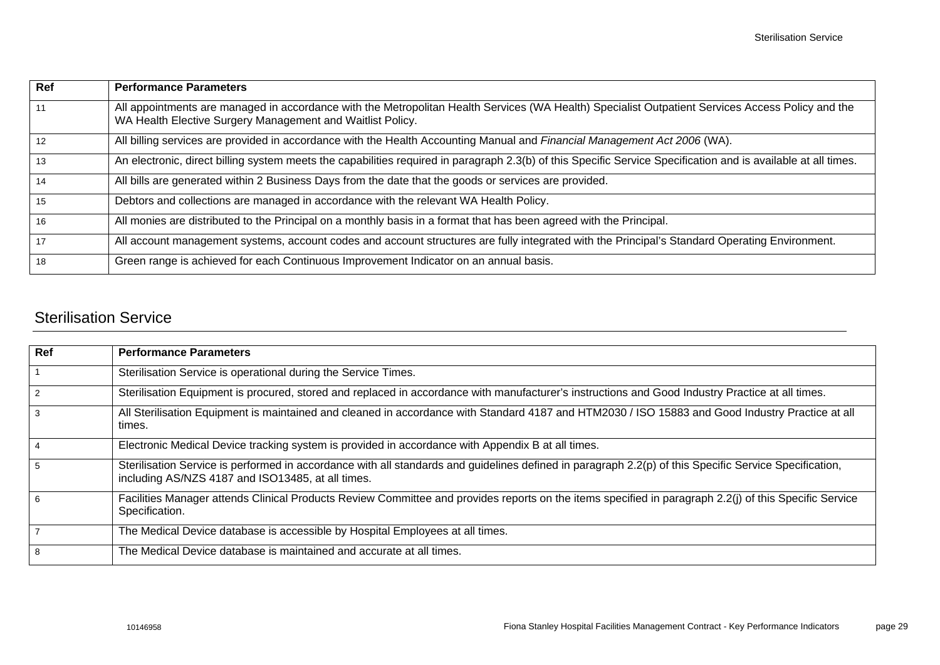| Ref | <b>Performance Parameters</b>                                                                                                                                                                                   |
|-----|-----------------------------------------------------------------------------------------------------------------------------------------------------------------------------------------------------------------|
| 11  | All appointments are managed in accordance with the Metropolitan Health Services (WA Health) Specialist Outpatient Services Access Policy and the<br>WA Health Elective Surgery Management and Waitlist Policy. |
| 12  | All billing services are provided in accordance with the Health Accounting Manual and Financial Management Act 2006 (WA).                                                                                       |
| 13  | An electronic, direct billing system meets the capabilities required in paragraph 2.3(b) of this Specific Service Specification and is available at all times.                                                  |
| 14  | All bills are generated within 2 Business Days from the date that the goods or services are provided.                                                                                                           |
| 15  | Debtors and collections are managed in accordance with the relevant WA Health Policy.                                                                                                                           |
| 16  | All monies are distributed to the Principal on a monthly basis in a format that has been agreed with the Principal.                                                                                             |
| 17  | All account management systems, account codes and account structures are fully integrated with the Principal's Standard Operating Environment.                                                                  |
| 18  | Green range is achieved for each Continuous Improvement Indicator on an annual basis.                                                                                                                           |

## <span id="page-31-0"></span>Sterilisation Service

| Ref            | <b>Performance Parameters</b>                                                                                                                                                                               |
|----------------|-------------------------------------------------------------------------------------------------------------------------------------------------------------------------------------------------------------|
|                | Sterilisation Service is operational during the Service Times.                                                                                                                                              |
| 2              | Sterilisation Equipment is procured, stored and replaced in accordance with manufacturer's instructions and Good Industry Practice at all times.                                                            |
| 3              | All Sterilisation Equipment is maintained and cleaned in accordance with Standard 4187 and HTM2030 / ISO 15883 and Good Industry Practice at all<br>times.                                                  |
| $\overline{4}$ | Electronic Medical Device tracking system is provided in accordance with Appendix B at all times.                                                                                                           |
| 5              | Sterilisation Service is performed in accordance with all standards and guidelines defined in paragraph 2.2(p) of this Specific Service Specification,<br>including AS/NZS 4187 and ISO13485, at all times. |
| 6              | Facilities Manager attends Clinical Products Review Committee and provides reports on the items specified in paragraph 2.2(j) of this Specific Service<br>Specification.                                    |
|                | The Medical Device database is accessible by Hospital Employees at all times.                                                                                                                               |
| 8              | The Medical Device database is maintained and accurate at all times.                                                                                                                                        |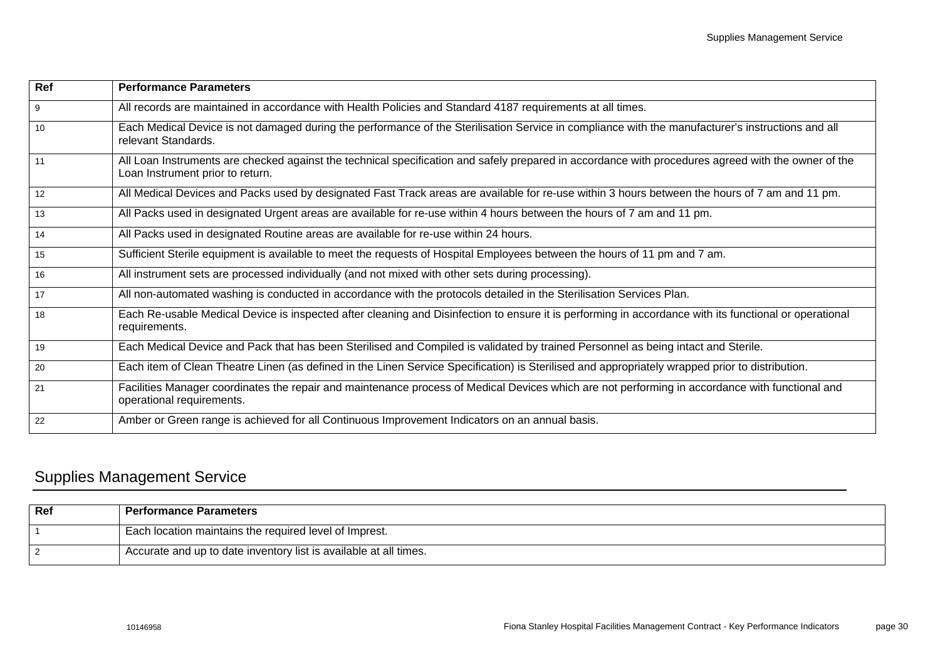| Ref             | <b>Performance Parameters</b>                                                                                                                                                           |
|-----------------|-----------------------------------------------------------------------------------------------------------------------------------------------------------------------------------------|
| 9               | All records are maintained in accordance with Health Policies and Standard 4187 requirements at all times.                                                                              |
| 10 <sup>1</sup> | Each Medical Device is not damaged during the performance of the Sterilisation Service in compliance with the manufacturer's instructions and all<br>relevant Standards.                |
| 11              | All Loan Instruments are checked against the technical specification and safely prepared in accordance with procedures agreed with the owner of the<br>Loan Instrument prior to return. |
| 12              | All Medical Devices and Packs used by designated Fast Track areas are available for re-use within 3 hours between the hours of 7 am and 11 pm.                                          |
| 13              | All Packs used in designated Urgent areas are available for re-use within 4 hours between the hours of 7 am and 11 pm.                                                                  |
| 14              | All Packs used in designated Routine areas are available for re-use within 24 hours.                                                                                                    |
| 15              | Sufficient Sterile equipment is available to meet the requests of Hospital Employees between the hours of 11 pm and 7 am.                                                               |
| 16              | All instrument sets are processed individually (and not mixed with other sets during processing).                                                                                       |
| 17              | All non-automated washing is conducted in accordance with the protocols detailed in the Sterilisation Services Plan.                                                                    |
| 18              | Each Re-usable Medical Device is inspected after cleaning and Disinfection to ensure it is performing in accordance with its functional or operational<br>requirements.                 |
| 19              | Each Medical Device and Pack that has been Sterilised and Compiled is validated by trained Personnel as being intact and Sterile.                                                       |
| 20              | Each item of Clean Theatre Linen (as defined in the Linen Service Specification) is Sterilised and appropriately wrapped prior to distribution.                                         |
| 21              | Facilities Manager coordinates the repair and maintenance process of Medical Devices which are not performing in accordance with functional and<br>operational requirements.            |
| 22              | Amber or Green range is achieved for all Continuous Improvement Indicators on an annual basis.                                                                                          |

## <span id="page-32-0"></span>Supplies Management Service

| Ref | <b>Performance Parameters</b>                                     |
|-----|-------------------------------------------------------------------|
|     | Each location maintains the required level of Imprest.            |
|     | Accurate and up to date inventory list is available at all times. |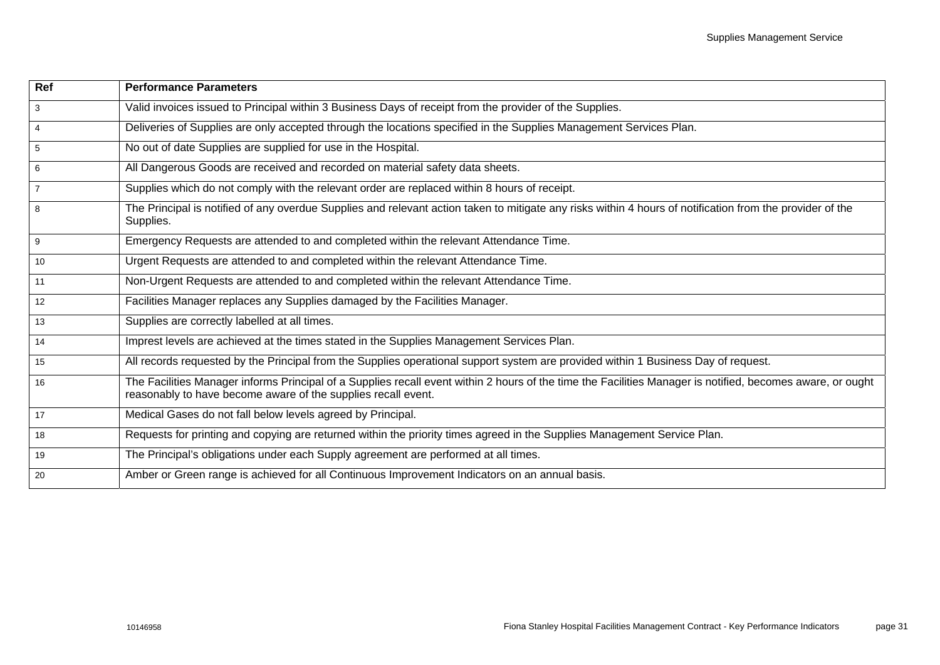| <b>Ref</b>      | <b>Performance Parameters</b>                                                                                                                                                                                               |
|-----------------|-----------------------------------------------------------------------------------------------------------------------------------------------------------------------------------------------------------------------------|
| $\mathbf{3}$    | Valid invoices issued to Principal within 3 Business Days of receipt from the provider of the Supplies.                                                                                                                     |
| $\overline{4}$  | Deliveries of Supplies are only accepted through the locations specified in the Supplies Management Services Plan.                                                                                                          |
| $\sqrt{5}$      | No out of date Supplies are supplied for use in the Hospital.                                                                                                                                                               |
| $6\phantom{.}6$ | All Dangerous Goods are received and recorded on material safety data sheets.                                                                                                                                               |
| $\overline{7}$  | Supplies which do not comply with the relevant order are replaced within 8 hours of receipt.                                                                                                                                |
| 8               | The Principal is notified of any overdue Supplies and relevant action taken to mitigate any risks within 4 hours of notification from the provider of the<br>Supplies.                                                      |
| 9               | Emergency Requests are attended to and completed within the relevant Attendance Time.                                                                                                                                       |
| 10              | Urgent Requests are attended to and completed within the relevant Attendance Time.                                                                                                                                          |
| 11              | Non-Urgent Requests are attended to and completed within the relevant Attendance Time.                                                                                                                                      |
| 12              | Facilities Manager replaces any Supplies damaged by the Facilities Manager.                                                                                                                                                 |
| 13              | Supplies are correctly labelled at all times.                                                                                                                                                                               |
| 14              | Imprest levels are achieved at the times stated in the Supplies Management Services Plan.                                                                                                                                   |
| 15              | All records requested by the Principal from the Supplies operational support system are provided within 1 Business Day of request.                                                                                          |
| 16              | The Facilities Manager informs Principal of a Supplies recall event within 2 hours of the time the Facilities Manager is notified, becomes aware, or ought<br>reasonably to have become aware of the supplies recall event. |
| 17              | Medical Gases do not fall below levels agreed by Principal.                                                                                                                                                                 |
| 18              | Requests for printing and copying are returned within the priority times agreed in the Supplies Management Service Plan.                                                                                                    |
| 19              | The Principal's obligations under each Supply agreement are performed at all times.                                                                                                                                         |
| 20              | Amber or Green range is achieved for all Continuous Improvement Indicators on an annual basis.                                                                                                                              |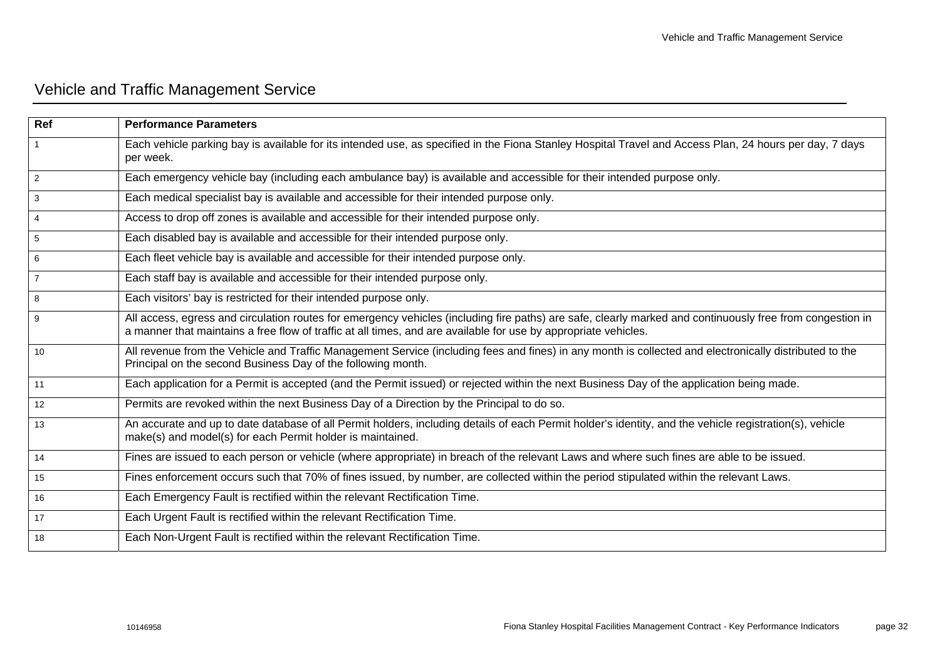# <span id="page-34-0"></span>Vehicle and Traffic Management Service

| Ref            | <b>Performance Parameters</b>                                                                                                                                                                                                                                                |
|----------------|------------------------------------------------------------------------------------------------------------------------------------------------------------------------------------------------------------------------------------------------------------------------------|
|                | Each vehicle parking bay is available for its intended use, as specified in the Fiona Stanley Hospital Travel and Access Plan, 24 hours per day, 7 days<br>per week.                                                                                                         |
| $\overline{2}$ | Each emergency vehicle bay (including each ambulance bay) is available and accessible for their intended purpose only.                                                                                                                                                       |
| 3              | Each medical specialist bay is available and accessible for their intended purpose only.                                                                                                                                                                                     |
| $\overline{4}$ | Access to drop off zones is available and accessible for their intended purpose only.                                                                                                                                                                                        |
| 5              | Each disabled bay is available and accessible for their intended purpose only.                                                                                                                                                                                               |
| 6              | Each fleet vehicle bay is available and accessible for their intended purpose only.                                                                                                                                                                                          |
| $\overline{7}$ | Each staff bay is available and accessible for their intended purpose only.                                                                                                                                                                                                  |
| 8              | Each visitors' bay is restricted for their intended purpose only.                                                                                                                                                                                                            |
| 9              | All access, egress and circulation routes for emergency vehicles (including fire paths) are safe, clearly marked and continuously free from congestion in<br>a manner that maintains a free flow of traffic at all times, and are available for use by appropriate vehicles. |
| 10             | All revenue from the Vehicle and Traffic Management Service (including fees and fines) in any month is collected and electronically distributed to the<br>Principal on the second Business Day of the following month.                                                       |
| 11             | Each application for a Permit is accepted (and the Permit issued) or rejected within the next Business Day of the application being made.                                                                                                                                    |
| 12             | Permits are revoked within the next Business Day of a Direction by the Principal to do so.                                                                                                                                                                                   |
| 13             | An accurate and up to date database of all Permit holders, including details of each Permit holder's identity, and the vehicle registration(s), vehicle<br>make(s) and model(s) for each Permit holder is maintained.                                                        |
| 14             | Fines are issued to each person or vehicle (where appropriate) in breach of the relevant Laws and where such fines are able to be issued.                                                                                                                                    |
| 15             | Fines enforcement occurs such that 70% of fines issued, by number, are collected within the period stipulated within the relevant Laws.                                                                                                                                      |
| 16             | Each Emergency Fault is rectified within the relevant Rectification Time.                                                                                                                                                                                                    |
| 17             | Each Urgent Fault is rectified within the relevant Rectification Time.                                                                                                                                                                                                       |
| 18             | Each Non-Urgent Fault is rectified within the relevant Rectification Time.                                                                                                                                                                                                   |